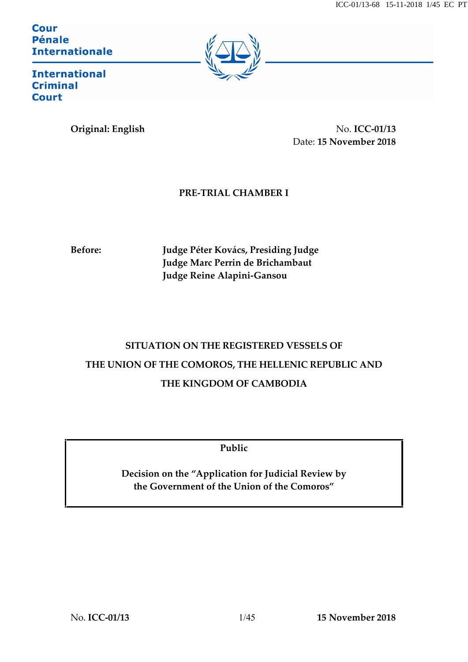**Cour Pénale Internationale** 



**International Criminal Court** 

**Original: English No. ICC-01/13** Date: **15 November 2018**

### **PRE-TRIAL CHAMBER I**

**Before: Judge Péter Kovács, Presiding Judge Judge Marc Perrin de Brichambaut Judge Reine Alapini-Gansou**

# **SITUATION ON THE REGISTERED VESSELS OF THE UNION OF THE COMOROS, THE HELLENIC REPUBLIC AND THE KINGDOM OF CAMBODIA**

**Public**

**Decision on the "Application for Judicial Review by the Government of the Union of the Comoros"**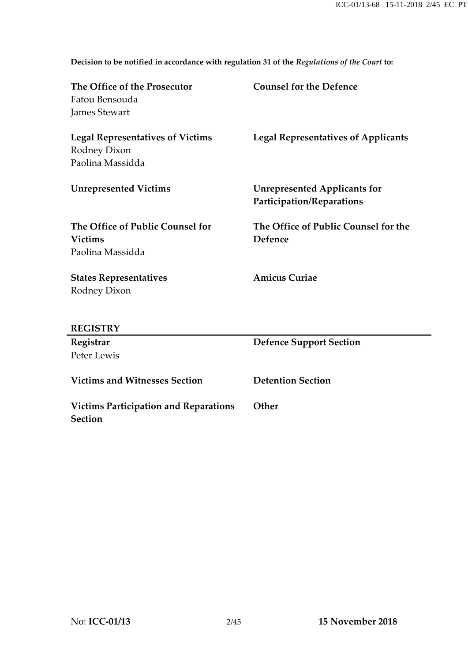**Decision to be notified in accordance with regulation 31 of the** *Regulations of the Court* **to:**

| The Office of the Prosecutor<br>Fatou Bensouda          | <b>Counsel for the Defence</b>                                   |
|---------------------------------------------------------|------------------------------------------------------------------|
| <b>James Stewart</b>                                    |                                                                  |
| <b>Legal Representatives of Victims</b>                 | <b>Legal Representatives of Applicants</b>                       |
| Rodney Dixon                                            |                                                                  |
| Paolina Massidda                                        |                                                                  |
| <b>Unrepresented Victims</b>                            | <b>Unrepresented Applicants for</b><br>Participation/Reparations |
| The Office of Public Counsel for                        | The Office of Public Counsel for the                             |
| <b>Victims</b>                                          | Defence                                                          |
| Paolina Massidda                                        |                                                                  |
| <b>States Representatives</b>                           | <b>Amicus Curiae</b>                                             |
| Rodney Dixon                                            |                                                                  |
|                                                         |                                                                  |
| <b>REGISTRY</b>                                         |                                                                  |
| Registrar                                               | <b>Defence Support Section</b>                                   |
| Peter Lewis                                             |                                                                  |
| <b>Victims and Witnesses Section</b>                    | <b>Detention Section</b>                                         |
| <b>Victims Participation and Reparations</b><br>Section | Other                                                            |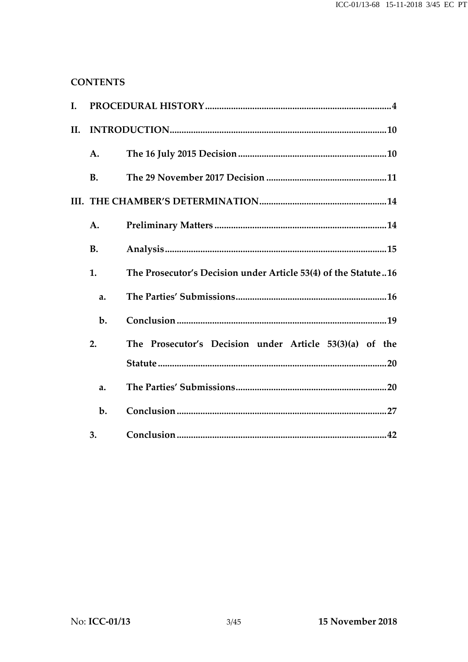### **CONTENTS**

| I.  |           |                                                                |
|-----|-----------|----------------------------------------------------------------|
| II. |           |                                                                |
|     | A.        |                                                                |
|     | <b>B.</b> |                                                                |
|     |           |                                                                |
|     | A.        |                                                                |
|     | <b>B.</b> |                                                                |
|     | 1.        | The Prosecutor's Decision under Article 53(4) of the Statute16 |
|     | a.        |                                                                |
|     | $b$ .     |                                                                |
|     | 2.        | The Prosecutor's Decision under Article 53(3)(a) of the        |
|     |           |                                                                |
|     | a.        |                                                                |
|     | $b$ .     |                                                                |
|     | 3.        |                                                                |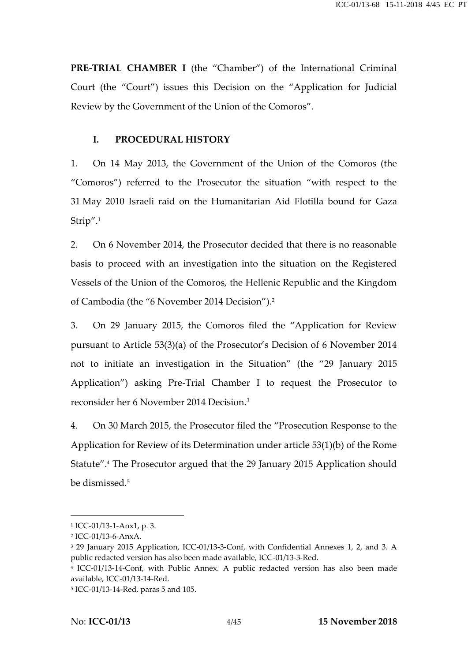**PRE-TRIAL CHAMBER I** (the "Chamber") of the International Criminal Court (the "Court") issues this Decision on the "Application for Judicial Review by the Government of the Union of the Comoros".

#### **I. PROCEDURAL HISTORY**

1. On 14 May 2013, the Government of the Union of the Comoros (the "Comoros") referred to the Prosecutor the situation "with respect to the 31 May 2010 Israeli raid on the Humanitarian Aid Flotilla bound for Gaza Strip".<sup>1</sup>

2. On 6 November 2014, the Prosecutor decided that there is no reasonable basis to proceed with an investigation into the situation on the Registered Vessels of the Union of the Comoros, the Hellenic Republic and the Kingdom of Cambodia (the "6 November 2014 Decision").<sup>2</sup>

3. On 29 January 2015, the Comoros filed the "Application for Review pursuant to Article 53(3)(a) of the Prosecutor's Decision of 6 November 2014 not to initiate an investigation in the Situation" (the "29 January 2015 Application") asking Pre-Trial Chamber I to request the Prosecutor to reconsider her 6 November 2014 Decision.<sup>3</sup>

4. On 30 March 2015, the Prosecutor filed the "Prosecution Response to the Application for Review of its Determination under article 53(1)(b) of the Rome Statute".<sup>4</sup> The Prosecutor argued that the 29 January 2015 Application should be dismissed.<sup>5</sup>

<sup>1</sup> ICC-01/13-1-Anx1, p. 3.

<sup>2</sup> ICC-01/13-6-AnxA.

<sup>3</sup> 29 January 2015 Application, ICC-01/13-3-Conf, with Confidential Annexes 1, 2, and 3. A public redacted version has also been made available, ICC-01/13-3-Red.

<sup>4</sup> ICC-01/13-14-Conf, with Public Annex. A public redacted version has also been made available, ICC-01/13-14-Red.

<sup>5</sup> ICC-01/13-14-Red, paras 5 and 105.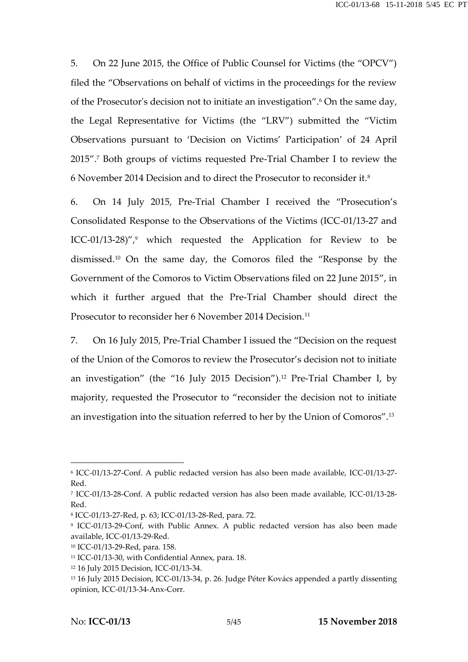5. On 22 June 2015, the Office of Public Counsel for Victims (the "OPCV") filed the "Observations on behalf of victims in the proceedings for the review of the Prosecutor's decision not to initiate an investigation".<sup>6</sup> On the same day, the Legal Representative for Victims (the "LRV") submitted the "Victim Observations pursuant to 'Decision on Victims' Participation' of 24 April 2015".<sup>7</sup> Both groups of victims requested Pre-Trial Chamber I to review the 6 November 2014 Decision and to direct the Prosecutor to reconsider it.<sup>8</sup>

6. On 14 July 2015, Pre-Trial Chamber I received the "Prosecution's Consolidated Response to the Observations of the Victims (ICC-01/13-27 and ICC-01/13-28)",<sup>9</sup> which requested the Application for Review to be dismissed.<sup>10</sup> On the same day, the Comoros filed the "Response by the Government of the Comoros to Victim Observations filed on 22 June 2015", in which it further argued that the Pre-Trial Chamber should direct the Prosecutor to reconsider her 6 November 2014 Decision.<sup>11</sup>

7. On 16 July 2015, Pre-Trial Chamber I issued the "Decision on the request of the Union of the Comoros to review the Prosecutor's decision not to initiate an investigation" (the "16 July 2015 Decision").<sup>12</sup> Pre-Trial Chamber I, by majority, requested the Prosecutor to "reconsider the decision not to initiate an investigation into the situation referred to her by the Union of Comoros".<sup>13</sup>

<sup>6</sup> ICC-01/13-27-Conf. A public redacted version has also been made available, ICC-01/13-27- Red.

<sup>7</sup> ICC-01/13-28-Conf. A public redacted version has also been made available, ICC-01/13-28- Red.

<sup>8</sup> ICC-01/13-27-Red, p. 63; ICC-01/13-28-Red, para. 72.

<sup>9</sup> ICC-01/13-29-Conf, with Public Annex. A public redacted version has also been made available, ICC-01/13-29-Red.

<sup>10</sup> ICC-01/13-29-Red, para. 158.

<sup>11</sup> ICC-01/13-30, with Confidential Annex, para. 18.

<sup>12</sup> 16 July 2015 Decision, ICC-01/13-34.

<sup>&</sup>lt;sup>13</sup> 16 July 2015 Decision, ICC-01/13-34, p. 26. Judge Péter Kovács appended a partly dissenting opinion, ICC-01/13-34-Anx-Corr.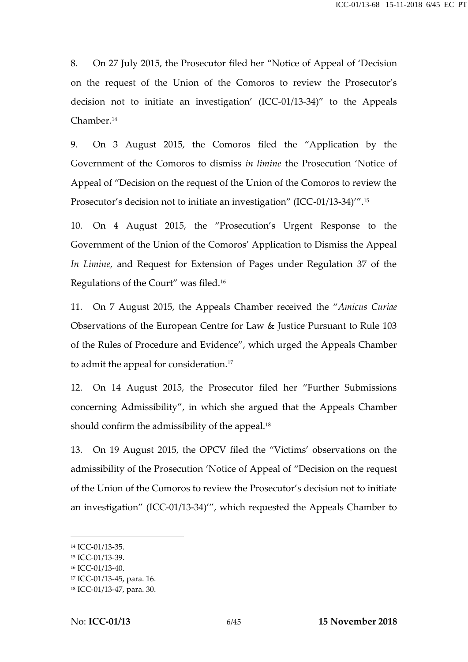8. On 27 July 2015, the Prosecutor filed her "Notice of Appeal of 'Decision on the request of the Union of the Comoros to review the Prosecutor's decision not to initiate an investigation' (ICC-01/13-34)" to the Appeals Chamber.<sup>14</sup>

9. On 3 August 2015, the Comoros filed the "Application by the Government of the Comoros to dismiss *in limine* the Prosecution 'Notice of Appeal of "Decision on the request of the Union of the Comoros to review the Prosecutor's decision not to initiate an investigation" (ICC-01/13-34)'".<sup>15</sup>

10. On 4 August 2015, the "Prosecution's Urgent Response to the Government of the Union of the Comoros' Application to Dismiss the Appeal *In Limine*, and Request for Extension of Pages under Regulation 37 of the Regulations of the Court" was filed.<sup>16</sup>

11. On 7 August 2015, the Appeals Chamber received the "*Amicus Curiae* Observations of the European Centre for Law & Justice Pursuant to Rule 103 of the Rules of Procedure and Evidence", which urged the Appeals Chamber to admit the appeal for consideration.<sup>17</sup>

12. On 14 August 2015, the Prosecutor filed her "Further Submissions concerning Admissibility", in which she argued that the Appeals Chamber should confirm the admissibility of the appeal.<sup>18</sup>

13. On 19 August 2015, the OPCV filed the "Victims' observations on the admissibility of the Prosecution 'Notice of Appeal of "Decision on the request of the Union of the Comoros to review the Prosecutor's decision not to initiate an investigation" (ICC-01/13-34)'", which requested the Appeals Chamber to

<sup>14</sup> ICC-01/13-35.

<sup>15</sup> ICC-01/13-39.

<sup>16</sup> ICC-01/13-40.

<sup>17</sup> ICC-01/13-45, para. 16.

<sup>18</sup> ICC-01/13-47, para. 30.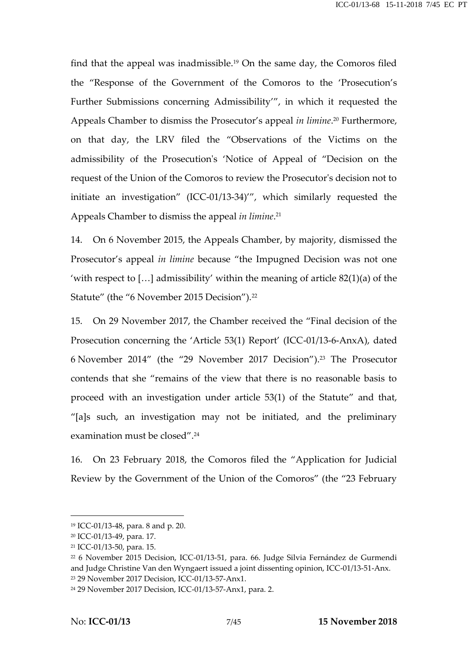find that the appeal was inadmissible.<sup>19</sup> On the same day, the Comoros filed the "Response of the Government of the Comoros to the 'Prosecution's Further Submissions concerning Admissibility'", in which it requested the Appeals Chamber to dismiss the Prosecutor's appeal *in limine*.<sup>20</sup> Furthermore, on that day, the LRV filed the "Observations of the Victims on the admissibility of the Prosecution's 'Notice of Appeal of "Decision on the request of the Union of the Comoros to review the Prosecutor's decision not to initiate an investigation" (ICC-01/13-34)'", which similarly requested the Appeals Chamber to dismiss the appeal *in limine*.<sup>21</sup>

14. On 6 November 2015, the Appeals Chamber, by majority, dismissed the Prosecutor's appeal *in limine* because "the Impugned Decision was not one 'with respect to [...] admissibility' within the meaning of article  $82(1)(a)$  of the Statute" (the "6 November 2015 Decision").<sup>22</sup>

15. On 29 November 2017, the Chamber received the "Final decision of the Prosecution concerning the 'Article 53(1) Report' (ICC-01/13-6-AnxA), dated 6 November 2014" (the "29 November 2017 Decision").<sup>23</sup> The Prosecutor contends that she "remains of the view that there is no reasonable basis to proceed with an investigation under article 53(1) of the Statute" and that, "[a]s such, an investigation may not be initiated, and the preliminary examination must be closed".<sup>24</sup>

16. On 23 February 2018, the Comoros filed the "Application for Judicial Review by the Government of the Union of the Comoros" (the "23 February

<sup>19</sup> ICC-01/13-48, para. 8 and p. 20.

<sup>20</sup> ICC-01/13-49, para. 17.

<sup>21</sup> ICC-01/13-50, para. 15.

<sup>22</sup> 6 November 2015 Decision, ICC-01/13-51, para. 66. Judge Silvia Fernández de Gurmendi and Judge Christine Van den Wyngaert issued a joint dissenting opinion, ICC-01/13-51-Anx. <sup>23</sup> 29 November 2017 Decision, ICC-01/13-57-Anx1.

<sup>24</sup> 29 November 2017 Decision, ICC-01/13-57-Anx1, para. 2.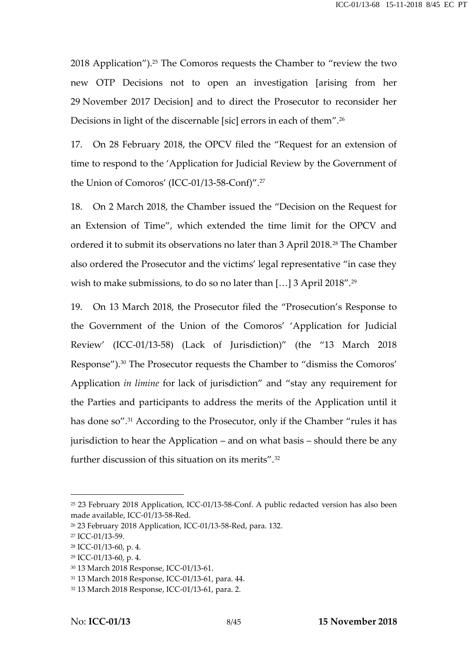2018 Application").<sup>25</sup> The Comoros requests the Chamber to "review the two new OTP Decisions not to open an investigation [arising from her 29 November 2017 Decision] and to direct the Prosecutor to reconsider her Decisions in light of the discernable [sic] errors in each of them".<sup>26</sup>

17. On 28 February 2018, the OPCV filed the "Request for an extension of time to respond to the 'Application for Judicial Review by the Government of the Union of Comoros' (ICC-01/13-58-Conf)".<sup>27</sup>

18. On 2 March 2018, the Chamber issued the "Decision on the Request for an Extension of Time", which extended the time limit for the OPCV and ordered it to submit its observations no later than 3 April 2018.<sup>28</sup> The Chamber also ordered the Prosecutor and the victims' legal representative "in case they wish to make submissions, to do so no later than [...] 3 April 2018".<sup>29</sup>

19. On 13 March 2018, the Prosecutor filed the "Prosecution's Response to the Government of the Union of the Comoros' 'Application for Judicial Review' (ICC-01/13-58) (Lack of Jurisdiction)" (the "13 March 2018 Response").<sup>30</sup> The Prosecutor requests the Chamber to "dismiss the Comoros' Application *in limine* for lack of jurisdiction" and "stay any requirement for the Parties and participants to address the merits of the Application until it has done so".<sup>31</sup> According to the Prosecutor, only if the Chamber "rules it has jurisdiction to hear the Application – and on what basis – should there be any further discussion of this situation on its merits".<sup>32</sup>

<sup>25</sup> 23 February 2018 Application, ICC-01/13-58-Conf. A public redacted version has also been made available, ICC-01/13-58-Red.

<sup>26</sup> 23 February 2018 Application, ICC-01/13-58-Red, para. 132.

<sup>27</sup> ICC-01/13-59.

<sup>28</sup> ICC-01/13-60, p. 4.

<sup>29</sup> ICC-01/13-60, p. 4.

<sup>30</sup> 13 March 2018 Response, ICC-01/13-61.

<sup>31</sup> 13 March 2018 Response, ICC-01/13-61, para. 44.

<sup>32</sup> 13 March 2018 Response, ICC-01/13-61, para. 2.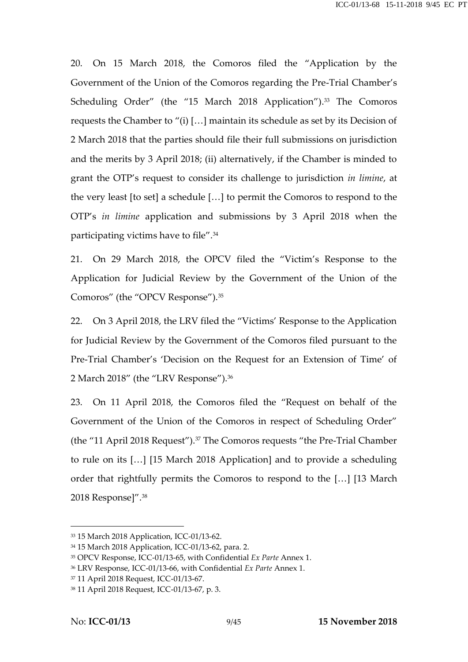20. On 15 March 2018, the Comoros filed the "Application by the Government of the Union of the Comoros regarding the Pre-Trial Chamber's Scheduling Order" (the "15 March 2018 Application").<sup>33</sup> The Comoros requests the Chamber to "(i) […] maintain its schedule as set by its Decision of 2 March 2018 that the parties should file their full submissions on jurisdiction and the merits by 3 April 2018; (ii) alternatively, if the Chamber is minded to grant the OTP's request to consider its challenge to jurisdiction *in limine*, at the very least [to set] a schedule […] to permit the Comoros to respond to the OTP's *in limine* application and submissions by 3 April 2018 when the participating victims have to file".<sup>34</sup>

21. On 29 March 2018, the OPCV filed the "Victim's Response to the Application for Judicial Review by the Government of the Union of the Comoros" (the "OPCV Response").<sup>35</sup>

22. On 3 April 2018, the LRV filed the "Victims' Response to the Application for Judicial Review by the Government of the Comoros filed pursuant to the Pre-Trial Chamber's 'Decision on the Request for an Extension of Time' of 2 March 2018" (the "LRV Response").<sup>36</sup>

23. On 11 April 2018, the Comoros filed the "Request on behalf of the Government of the Union of the Comoros in respect of Scheduling Order" (the "11 April 2018 Request").<sup>37</sup> The Comoros requests "the Pre-Trial Chamber to rule on its […] [15 March 2018 Application] and to provide a scheduling order that rightfully permits the Comoros to respond to the […] [13 March 2018 Response]".<sup>38</sup>

<sup>33</sup> 15 March 2018 Application, ICC-01/13-62.

<sup>34</sup> 15 March 2018 Application, ICC-01/13-62, para. 2.

<sup>35</sup> OPCV Response, ICC-01/13-65, with Confidential *Ex Parte* Annex 1.

<sup>36</sup> LRV Response, ICC-01/13-66, with Confidential *Ex Parte* Annex 1.

<sup>37</sup> 11 April 2018 Request, ICC-01/13-67.

<sup>38</sup> 11 April 2018 Request, ICC-01/13-67, p. 3.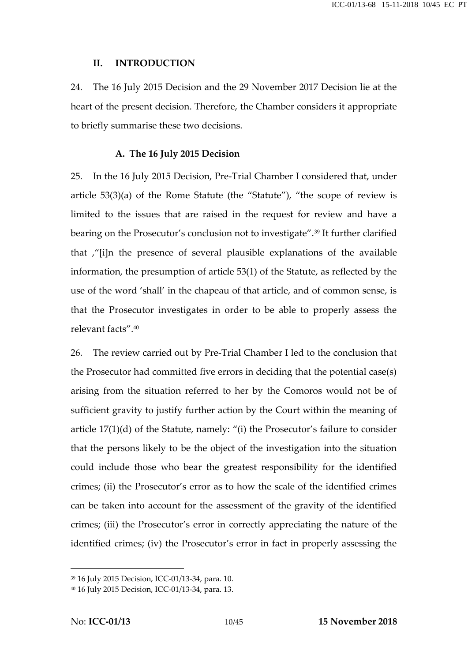#### **II. INTRODUCTION**

24. The 16 July 2015 Decision and the 29 November 2017 Decision lie at the heart of the present decision. Therefore, the Chamber considers it appropriate to briefly summarise these two decisions.

#### **A. The 16 July 2015 Decision**

25. In the 16 July 2015 Decision, Pre-Trial Chamber I considered that, under article 53(3)(a) of the Rome Statute (the "Statute"), "the scope of review is limited to the issues that are raised in the request for review and have a bearing on the Prosecutor's conclusion not to investigate".<sup>39</sup> It further clarified that ,"[i]n the presence of several plausible explanations of the available information, the presumption of article 53(1) of the Statute, as reflected by the use of the word 'shall' in the chapeau of that article, and of common sense, is that the Prosecutor investigates in order to be able to properly assess the relevant facts".<sup>40</sup>

26. The review carried out by Pre-Trial Chamber I led to the conclusion that the Prosecutor had committed five errors in deciding that the potential case(s) arising from the situation referred to her by the Comoros would not be of sufficient gravity to justify further action by the Court within the meaning of article 17(1)(d) of the Statute, namely: "(i) the Prosecutor's failure to consider that the persons likely to be the object of the investigation into the situation could include those who bear the greatest responsibility for the identified crimes; (ii) the Prosecutor's error as to how the scale of the identified crimes can be taken into account for the assessment of the gravity of the identified crimes; (iii) the Prosecutor's error in correctly appreciating the nature of the identified crimes; (iv) the Prosecutor's error in fact in properly assessing the

<sup>39</sup> 16 July 2015 Decision, ICC-01/13-34, para. 10.

<sup>40</sup> 16 July 2015 Decision, ICC-01/13-34, para. 13.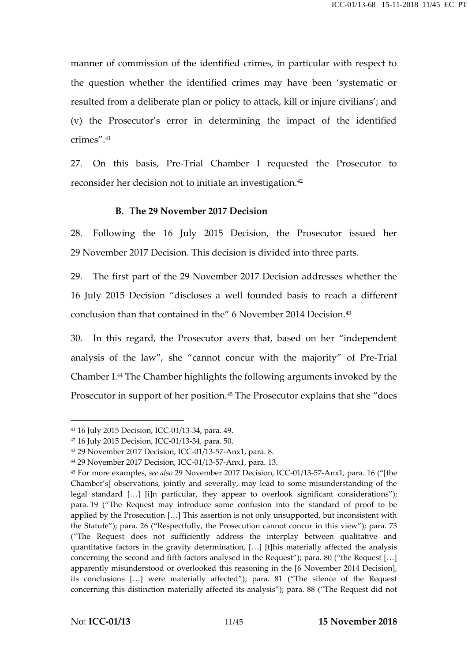manner of commission of the identified crimes, in particular with respect to the question whether the identified crimes may have been 'systematic or resulted from a deliberate plan or policy to attack, kill or injure civilians'; and (v) the Prosecutor's error in determining the impact of the identified crimes"  $41$ 

27. On this basis, Pre-Trial Chamber I requested the Prosecutor to reconsider her decision not to initiate an investigation.<sup>42</sup>

#### **B. The 29 November 2017 Decision**

28. Following the 16 July 2015 Decision, the Prosecutor issued her 29 November 2017 Decision. This decision is divided into three parts.

29. The first part of the 29 November 2017 Decision addresses whether the 16 July 2015 Decision "discloses a well founded basis to reach a different conclusion than that contained in the" 6 November 2014 Decision.<sup>43</sup>

30. In this regard, the Prosecutor avers that, based on her "independent analysis of the law", she "cannot concur with the majority" of Pre-Trial Chamber I.<sup>44</sup> The Chamber highlights the following arguments invoked by the Prosecutor in support of her position.<sup>45</sup> The Prosecutor explains that she "does

<sup>41</sup> 16 July 2015 Decision, ICC-01/13-34, para. 49.

<sup>42</sup> 16 July 2015 Decision, ICC-01/13-34, para. 50.

<sup>43</sup> 29 November 2017 Decision, ICC-01/13-57-Anx1, para. 8.

<sup>44</sup> 29 November 2017 Decision, ICC-01/13-57-Anx1, para. 13.

<sup>45</sup> For more examples, *see also* 29 November 2017 Decision, ICC-01/13-57-Anx1, para. 16 ("[the Chamber's] observations, jointly and severally, may lead to some misunderstanding of the legal standard […] [i]n particular, they appear to overlook significant considerations"); para. 19 ("The Request may introduce some confusion into the standard of proof to be applied by the Prosecution […] This assertion is not only unsupported, but inconsistent with the Statute"); para. 26 ("Respectfully, the Prosecution cannot concur in this view"); para. 73 ("The Request does not sufficiently address the interplay between qualitative and quantitative factors in the gravity determination, […] [t]his materially affected the analysis concerning the second and fifth factors analysed in the Request"); para. 80 ("the Request […] apparently misunderstood or overlooked this reasoning in the [6 November 2014 Decision], its conclusions […] were materially affected"); para. 81 ("The silence of the Request concerning this distinction materially affected its analysis"); para. 88 ("The Request did not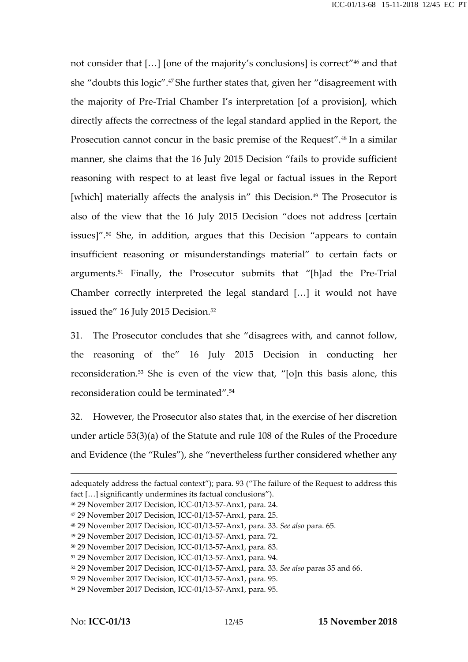not consider that […] [one of the majority's conclusions] is correct" <sup>46</sup> and that she "doubts this logic".<sup>47</sup> She further states that, given her "disagreement with the majority of Pre-Trial Chamber I's interpretation [of a provision], which directly affects the correctness of the legal standard applied in the Report, the Prosecution cannot concur in the basic premise of the Request".<sup>48</sup> In a similar manner, she claims that the 16 July 2015 Decision "fails to provide sufficient reasoning with respect to at least five legal or factual issues in the Report [which] materially affects the analysis in" this Decision.<sup>49</sup> The Prosecutor is also of the view that the 16 July 2015 Decision "does not address [certain issues]".<sup>50</sup> She, in addition, argues that this Decision "appears to contain insufficient reasoning or misunderstandings material" to certain facts or arguments.<sup>51</sup> Finally, the Prosecutor submits that "[h]ad the Pre-Trial Chamber correctly interpreted the legal standard […] it would not have issued the" 16 July 2015 Decision.<sup>52</sup>

31. The Prosecutor concludes that she "disagrees with, and cannot follow, the reasoning of the" 16 July 2015 Decision in conducting her reconsideration.<sup>53</sup> She is even of the view that, "[o]n this basis alone, this reconsideration could be terminated".<sup>54</sup>

32. However, the Prosecutor also states that, in the exercise of her discretion under article 53(3)(a) of the Statute and rule 108 of the Rules of the Procedure and Evidence (the "Rules"), she "nevertheless further considered whether any

adequately address the factual context"); para. 93 ("The failure of the Request to address this fact […] significantly undermines its factual conclusions").

<sup>46</sup> 29 November 2017 Decision, ICC-01/13-57-Anx1, para. 24.

<sup>47</sup> 29 November 2017 Decision, ICC-01/13-57-Anx1, para. 25.

<sup>48</sup> 29 November 2017 Decision, ICC-01/13-57-Anx1, para. 33. *See also* para. 65.

<sup>49</sup> 29 November 2017 Decision, ICC-01/13-57-Anx1, para. 72.

<sup>50</sup> 29 November 2017 Decision, ICC-01/13-57-Anx1, para. 83.

<sup>51</sup> 29 November 2017 Decision, ICC-01/13-57-Anx1, para. 94.

<sup>52</sup> 29 November 2017 Decision, ICC-01/13-57-Anx1, para. 33. *See also* paras 35 and 66.

<sup>53</sup> 29 November 2017 Decision, ICC-01/13-57-Anx1, para. 95.

<sup>54</sup> 29 November 2017 Decision, ICC-01/13-57-Anx1, para. 95.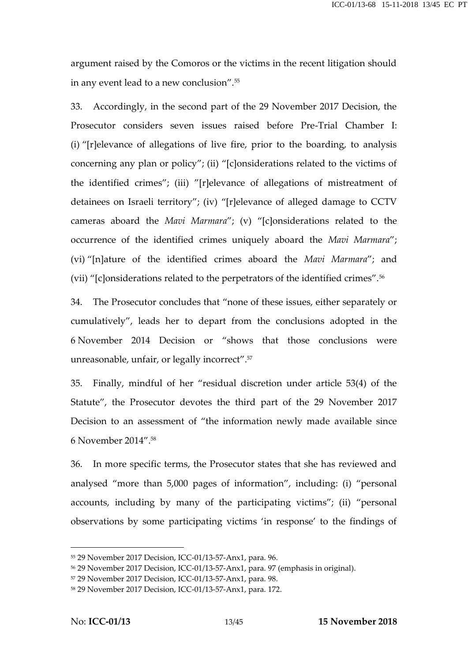argument raised by the Comoros or the victims in the recent litigation should in any event lead to a new conclusion".<sup>55</sup>

33. Accordingly, in the second part of the 29 November 2017 Decision, the Prosecutor considers seven issues raised before Pre-Trial Chamber I: (i) "[r]elevance of allegations of live fire, prior to the boarding, to analysis concerning any plan or policy"; (ii) "[c]onsiderations related to the victims of the identified crimes"; (iii) "[r]elevance of allegations of mistreatment of detainees on Israeli territory"; (iv) "[r]elevance of alleged damage to CCTV cameras aboard the *Mavi Marmara*"; (v) "[c]onsiderations related to the occurrence of the identified crimes uniquely aboard the *Mavi Marmara*"; (vi) "[n]ature of the identified crimes aboard the *Mavi Marmara*"; and (vii) "[c]onsiderations related to the perpetrators of the identified crimes".<sup>56</sup>

34. The Prosecutor concludes that "none of these issues, either separately or cumulatively", leads her to depart from the conclusions adopted in the 6 November 2014 Decision or "shows that those conclusions were unreasonable, unfair, or legally incorrect".<sup>57</sup>

35. Finally, mindful of her "residual discretion under article 53(4) of the Statute", the Prosecutor devotes the third part of the 29 November 2017 Decision to an assessment of "the information newly made available since 6 November 2014".<sup>58</sup>

36. In more specific terms, the Prosecutor states that she has reviewed and analysed "more than 5,000 pages of information", including: (i) "personal accounts, including by many of the participating victims"; (ii) "personal observations by some participating victims 'in response' to the findings of

<sup>55</sup> 29 November 2017 Decision, ICC-01/13-57-Anx1, para. 96.

<sup>56</sup> 29 November 2017 Decision, ICC-01/13-57-Anx1, para. 97 (emphasis in original).

<sup>57</sup> 29 November 2017 Decision, ICC-01/13-57-Anx1, para. 98.

<sup>58</sup> 29 November 2017 Decision, ICC-01/13-57-Anx1, para. 172.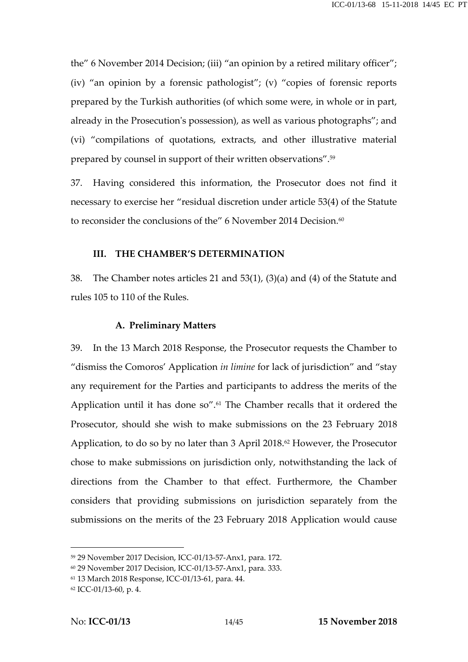the" 6 November 2014 Decision; (iii) "an opinion by a retired military officer"; (iv) "an opinion by a forensic pathologist"; (v) "copies of forensic reports prepared by the Turkish authorities (of which some were, in whole or in part, already in the Prosecution's possession), as well as various photographs"; and (vi) "compilations of quotations, extracts, and other illustrative material prepared by counsel in support of their written observations".<sup>59</sup>

37. Having considered this information, the Prosecutor does not find it necessary to exercise her "residual discretion under article 53(4) of the Statute to reconsider the conclusions of the" 6 November 2014 Decision.<sup>60</sup>

#### **III. THE CHAMBER'S DETERMINATION**

38. The Chamber notes articles 21 and 53(1), (3)(a) and (4) of the Statute and rules 105 to 110 of the Rules.

#### **A. Preliminary Matters**

39. In the 13 March 2018 Response, the Prosecutor requests the Chamber to "dismiss the Comoros' Application *in limine* for lack of jurisdiction" and "stay any requirement for the Parties and participants to address the merits of the Application until it has done so".<sup>61</sup> The Chamber recalls that it ordered the Prosecutor, should she wish to make submissions on the 23 February 2018 Application, to do so by no later than 3 April 2018.<sup>62</sup> However, the Prosecutor chose to make submissions on jurisdiction only, notwithstanding the lack of directions from the Chamber to that effect. Furthermore, the Chamber considers that providing submissions on jurisdiction separately from the submissions on the merits of the 23 February 2018 Application would cause

<sup>59</sup> 29 November 2017 Decision, ICC-01/13-57-Anx1, para. 172.

<sup>60</sup> 29 November 2017 Decision, ICC-01/13-57-Anx1, para. 333.

<sup>61</sup> 13 March 2018 Response, ICC-01/13-61, para. 44.

<sup>62</sup> ICC-01/13-60, p. 4.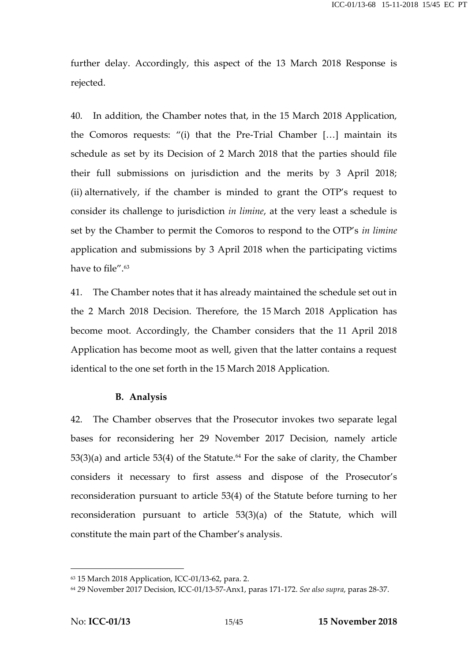further delay. Accordingly, this aspect of the 13 March 2018 Response is rejected.

40. In addition, the Chamber notes that, in the 15 March 2018 Application, the Comoros requests: "(i) that the Pre-Trial Chamber […] maintain its schedule as set by its Decision of 2 March 2018 that the parties should file their full submissions on jurisdiction and the merits by 3 April 2018; (ii) alternatively, if the chamber is minded to grant the OTP's request to consider its challenge to jurisdiction *in limine*, at the very least a schedule is set by the Chamber to permit the Comoros to respond to the OTP's *in limine* application and submissions by 3 April 2018 when the participating victims have to file".<sup>63</sup>

41. The Chamber notes that it has already maintained the schedule set out in the 2 March 2018 Decision. Therefore, the 15 March 2018 Application has become moot. Accordingly, the Chamber considers that the 11 April 2018 Application has become moot as well, given that the latter contains a request identical to the one set forth in the 15 March 2018 Application.

#### **B. Analysis**

42. The Chamber observes that the Prosecutor invokes two separate legal bases for reconsidering her 29 November 2017 Decision, namely article  $53(3)(a)$  and article  $53(4)$  of the Statute.<sup>64</sup> For the sake of clarity, the Chamber considers it necessary to first assess and dispose of the Prosecutor's reconsideration pursuant to article 53(4) of the Statute before turning to her reconsideration pursuant to article 53(3)(a) of the Statute, which will constitute the main part of the Chamber's analysis.

<sup>63</sup> 15 March 2018 Application, ICC-01/13-62, para. 2.

<sup>64</sup> *2*9 November 2017 Decision, ICC-01/13-57-Anx1, paras 171-172. *See also supra*, paras 28-37.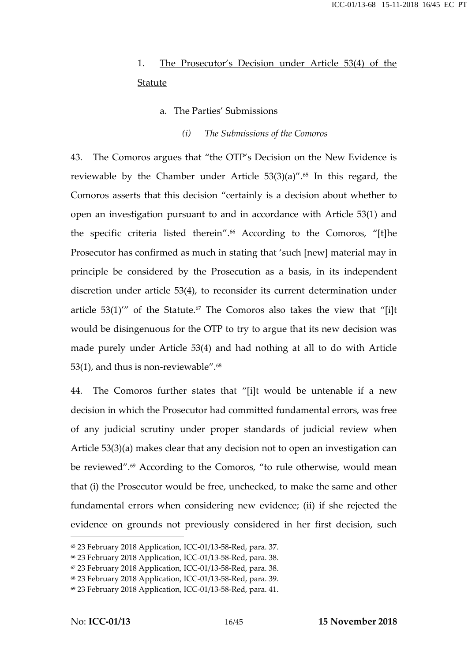### 1. The Prosecutor's Decision under Article 53(4) of the Statute

- a. The Parties' Submissions
	- *(i) The Submissions of the Comoros*

43. The Comoros argues that "the OTP's Decision on the New Evidence is reviewable by the Chamber under Article  $53(3)(a)$ ".<sup>65</sup> In this regard, the Comoros asserts that this decision "certainly is a decision about whether to open an investigation pursuant to and in accordance with Article 53(1) and the specific criteria listed therein".<sup>66</sup> According to the Comoros, "[t]he Prosecutor has confirmed as much in stating that 'such [new] material may in principle be considered by the Prosecution as a basis, in its independent discretion under article 53(4), to reconsider its current determination under article  $53(1)''$  of the Statute.<sup>67</sup> The Comoros also takes the view that "[i]t would be disingenuous for the OTP to try to argue that its new decision was made purely under Article 53(4) and had nothing at all to do with Article 53(1), and thus is non-reviewable".<sup>68</sup>

44. The Comoros further states that "[i]t would be untenable if a new decision in which the Prosecutor had committed fundamental errors, was free of any judicial scrutiny under proper standards of judicial review when Article 53(3)(a) makes clear that any decision not to open an investigation can be reviewed".<sup>69</sup> According to the Comoros, "to rule otherwise, would mean that (i) the Prosecutor would be free, unchecked, to make the same and other fundamental errors when considering new evidence; (ii) if she rejected the evidence on grounds not previously considered in her first decision, such

<sup>65</sup> 23 February 2018 Application, ICC-01/13-58-Red, para. 37.

<sup>66</sup> 23 February 2018 Application, ICC-01/13-58-Red, para. 38.

<sup>67</sup> 23 February 2018 Application, ICC-01/13-58-Red, para. 38.

<sup>68</sup> 23 February 2018 Application, ICC-01/13-58-Red, para. 39.

<sup>69</sup> 23 February 2018 Application, ICC-01/13-58-Red, para. 41.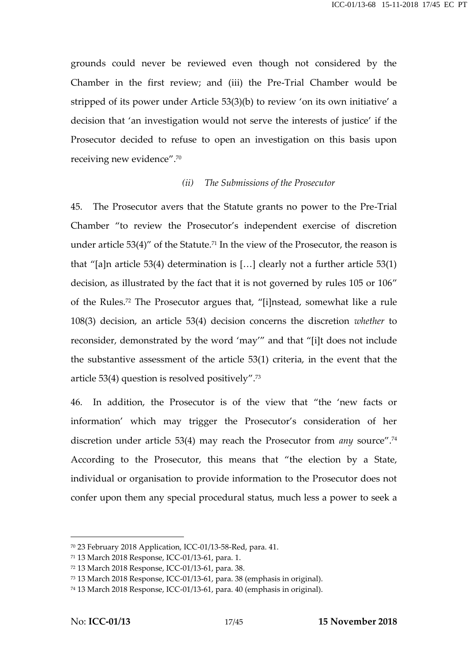grounds could never be reviewed even though not considered by the Chamber in the first review; and (iii) the Pre-Trial Chamber would be stripped of its power under Article 53(3)(b) to review 'on its own initiative' a decision that 'an investigation would not serve the interests of justice' if the Prosecutor decided to refuse to open an investigation on this basis upon receiving new evidence".<sup>70</sup>

#### *(ii) The Submissions of the Prosecutor*

45. The Prosecutor avers that the Statute grants no power to the Pre-Trial Chamber "to review the Prosecutor's independent exercise of discretion under article  $53(4)$ " of the Statute.<sup>71</sup> In the view of the Prosecutor, the reason is that "[a]n article 53(4) determination is […] clearly not a further article 53(1) decision, as illustrated by the fact that it is not governed by rules 105 or 106" of the Rules.<sup>72</sup> The Prosecutor argues that, "[i]nstead, somewhat like a rule 108(3) decision, an article 53(4) decision concerns the discretion *whether* to reconsider, demonstrated by the word 'may'" and that "[i]t does not include the substantive assessment of the article 53(1) criteria, in the event that the article 53(4) question is resolved positively".<sup>73</sup>

46. In addition, the Prosecutor is of the view that "the 'new facts or information' which may trigger the Prosecutor's consideration of her discretion under article 53(4) may reach the Prosecutor from *any* source".<sup>74</sup> According to the Prosecutor, this means that "the election by a State, individual or organisation to provide information to the Prosecutor does not confer upon them any special procedural status, much less a power to seek a

<sup>70</sup> 23 February 2018 Application, ICC-01/13-58-Red, para. 41.

<sup>71</sup> 13 March 2018 Response, ICC-01/13-61, para. 1.

<sup>72</sup> 13 March 2018 Response, ICC-01/13-61, para. 38.

<sup>73</sup> 13 March 2018 Response, ICC-01/13-61, para. 38 (emphasis in original).

<sup>74</sup> 13 March 2018 Response, ICC-01/13-61, para. 40 (emphasis in original).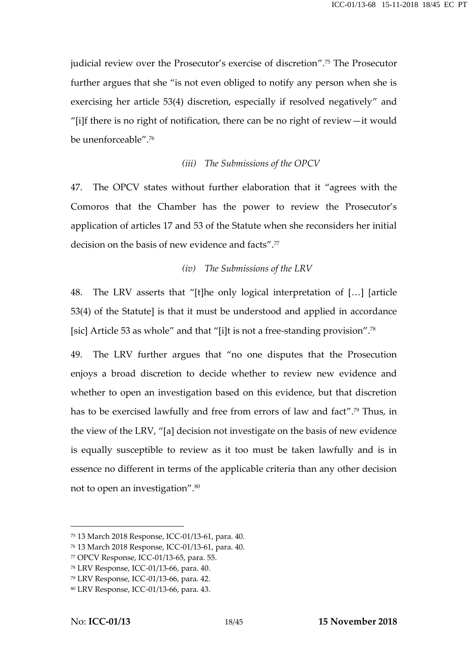judicial review over the Prosecutor's exercise of discretion".<sup>75</sup> The Prosecutor further argues that she "is not even obliged to notify any person when she is exercising her article 53(4) discretion, especially if resolved negatively" and "[i]f there is no right of notification, there can be no right of review—it would be unenforceable".<sup>76</sup>

#### *(iii) The Submissions of the OPCV*

47. The OPCV states without further elaboration that it "agrees with the Comoros that the Chamber has the power to review the Prosecutor's application of articles 17 and 53 of the Statute when she reconsiders her initial decision on the basis of new evidence and facts".<sup>77</sup>

#### *(iv) The Submissions of the LRV*

48. The LRV asserts that "[t]he only logical interpretation of […] [article 53(4) of the Statute] is that it must be understood and applied in accordance [sic] Article 53 as whole" and that "[i]t is not a free-standing provision".<sup>78</sup>

49. The LRV further argues that "no one disputes that the Prosecution enjoys a broad discretion to decide whether to review new evidence and whether to open an investigation based on this evidence, but that discretion has to be exercised lawfully and free from errors of law and fact".<sup>79</sup> Thus, in the view of the LRV, "[a] decision not investigate on the basis of new evidence is equally susceptible to review as it too must be taken lawfully and is in essence no different in terms of the applicable criteria than any other decision not to open an investigation".<sup>80</sup>

<sup>75</sup> 13 March 2018 Response, ICC-01/13-61, para. 40.

<sup>76</sup> 13 March 2018 Response, ICC-01/13-61, para. 40.

<sup>77</sup> OPCV Response, ICC-01/13-65, para. 55.

<sup>78</sup> LRV Response, ICC-01/13-66, para. 40.

<sup>79</sup> LRV Response, ICC-01/13-66, para. 42.

<sup>80</sup> LRV Response, ICC-01/13-66, para. 43.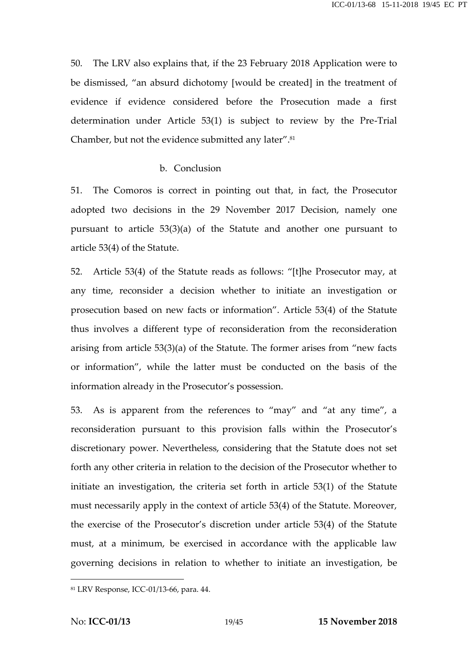50. The LRV also explains that, if the 23 February 2018 Application were to be dismissed, "an absurd dichotomy [would be created] in the treatment of evidence if evidence considered before the Prosecution made a first determination under Article 53(1) is subject to review by the Pre-Trial Chamber, but not the evidence submitted any later".<sup>81</sup>

#### b. Conclusion

51. The Comoros is correct in pointing out that, in fact, the Prosecutor adopted two decisions in the 29 November 2017 Decision, namely one pursuant to article 53(3)(a) of the Statute and another one pursuant to article 53(4) of the Statute.

52. Article 53(4) of the Statute reads as follows: "[t]he Prosecutor may, at any time, reconsider a decision whether to initiate an investigation or prosecution based on new facts or information". Article 53(4) of the Statute thus involves a different type of reconsideration from the reconsideration arising from article 53(3)(a) of the Statute. The former arises from "new facts or information", while the latter must be conducted on the basis of the information already in the Prosecutor's possession.

53. As is apparent from the references to "may" and "at any time", a reconsideration pursuant to this provision falls within the Prosecutor's discretionary power. Nevertheless, considering that the Statute does not set forth any other criteria in relation to the decision of the Prosecutor whether to initiate an investigation, the criteria set forth in article 53(1) of the Statute must necessarily apply in the context of article 53(4) of the Statute. Moreover, the exercise of the Prosecutor's discretion under article 53(4) of the Statute must, at a minimum, be exercised in accordance with the applicable law governing decisions in relation to whether to initiate an investigation, be

<sup>81</sup> LRV Response, ICC-01/13-66, para. 44.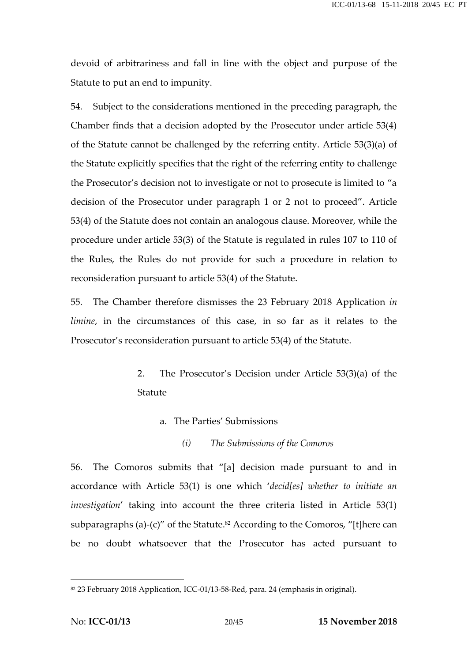devoid of arbitrariness and fall in line with the object and purpose of the Statute to put an end to impunity.

54. Subject to the considerations mentioned in the preceding paragraph, the Chamber finds that a decision adopted by the Prosecutor under article 53(4) of the Statute cannot be challenged by the referring entity. Article 53(3)(a) of the Statute explicitly specifies that the right of the referring entity to challenge the Prosecutor's decision not to investigate or not to prosecute is limited to "a decision of the Prosecutor under paragraph 1 or 2 not to proceed". Article 53(4) of the Statute does not contain an analogous clause. Moreover, while the procedure under article 53(3) of the Statute is regulated in rules 107 to 110 of the Rules, the Rules do not provide for such a procedure in relation to reconsideration pursuant to article 53(4) of the Statute.

55. The Chamber therefore dismisses the 23 February 2018 Application *in limine*, in the circumstances of this case, in so far as it relates to the Prosecutor's reconsideration pursuant to article 53(4) of the Statute.

## 2. The Prosecutor's Decision under Article 53(3)(a) of the Statute

- a. The Parties' Submissions
	- *(i) The Submissions of the Comoros*

56. The Comoros submits that "[a] decision made pursuant to and in accordance with Article 53(1) is one which '*decid[es] whether to initiate an investigation*' taking into account the three criteria listed in Article 53(1) subparagraphs (a)-(c)" of the Statute.<sup>82</sup> According to the Comoros, "[t]here can be no doubt whatsoever that the Prosecutor has acted pursuant to

<sup>82</sup> 23 February 2018 Application, ICC-01/13-58-Red, para. 24 (emphasis in original).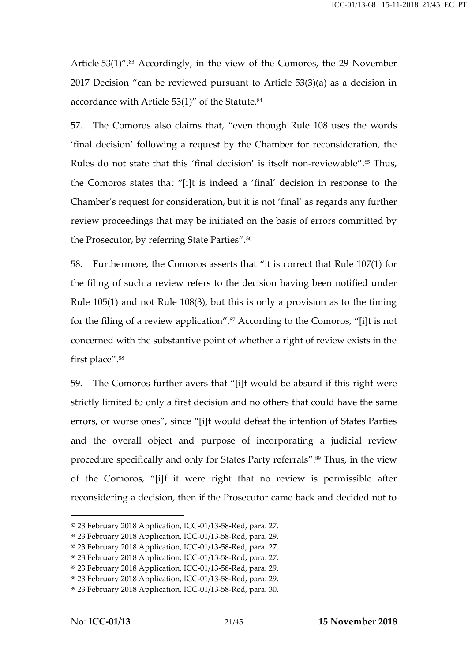Article 53(1)".<sup>83</sup> Accordingly, in the view of the Comoros, the 29 November 2017 Decision "can be reviewed pursuant to Article 53(3)(a) as a decision in accordance with Article 53(1)" of the Statute.<sup>84</sup>

57. The Comoros also claims that, "even though Rule 108 uses the words 'final decision' following a request by the Chamber for reconsideration, the Rules do not state that this 'final decision' is itself non-reviewable".<sup>85</sup> Thus, the Comoros states that "[i]t is indeed a 'final' decision in response to the Chamber's request for consideration, but it is not 'final' as regards any further review proceedings that may be initiated on the basis of errors committed by the Prosecutor, by referring State Parties".<sup>86</sup>

58. Furthermore, the Comoros asserts that "it is correct that Rule 107(1) for the filing of such a review refers to the decision having been notified under Rule 105(1) and not Rule 108(3), but this is only a provision as to the timing for the filing of a review application".<sup>87</sup> According to the Comoros, "[i]t is not concerned with the substantive point of whether a right of review exists in the first place".<sup>88</sup>

59. The Comoros further avers that "[i]t would be absurd if this right were strictly limited to only a first decision and no others that could have the same errors, or worse ones", since "[i]t would defeat the intention of States Parties and the overall object and purpose of incorporating a judicial review procedure specifically and only for States Party referrals".<sup>89</sup> Thus, in the view of the Comoros, "[i]f it were right that no review is permissible after reconsidering a decision, then if the Prosecutor came back and decided not to

<sup>83</sup> 23 February 2018 Application, ICC-01/13-58-Red, para. 27.

<sup>84</sup> 23 February 2018 Application, ICC-01/13-58-Red, para. 29.

<sup>85</sup> 23 February 2018 Application, ICC-01/13-58-Red, para. 27.

<sup>86</sup> 23 February 2018 Application, ICC-01/13-58-Red, para. 27.

<sup>87</sup> 23 February 2018 Application, ICC-01/13-58-Red, para. 29.

<sup>88</sup> 23 February 2018 Application, ICC-01/13-58-Red, para. 29.

<sup>89</sup> 23 February 2018 Application, ICC-01/13-58-Red, para. 30.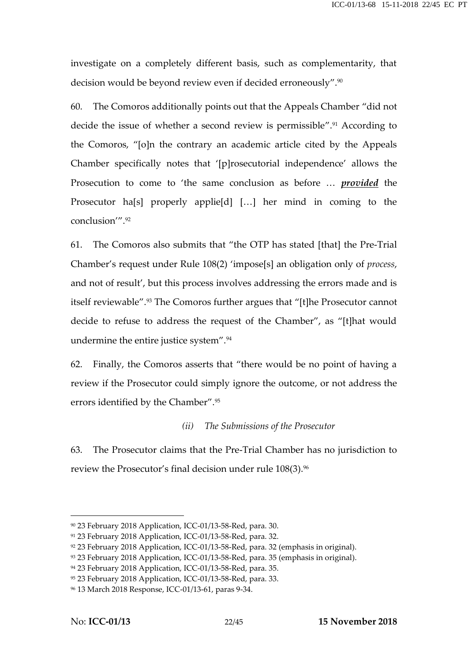investigate on a completely different basis, such as complementarity, that decision would be beyond review even if decided erroneously".<sup>90</sup>

60. The Comoros additionally points out that the Appeals Chamber "did not decide the issue of whether a second review is permissible".<sup>91</sup> According to the Comoros, "[o]n the contrary an academic article cited by the Appeals Chamber specifically notes that '[p]rosecutorial independence' allows the Prosecution to come to 'the same conclusion as before … *provided* the Prosecutor ha[s] properly applie[d] […] her mind in coming to the conclusion'"<sup>92</sup>

61. The Comoros also submits that "the OTP has stated [that] the Pre-Trial Chamber's request under Rule 108(2) 'impose[s] an obligation only of *process*, and not of result', but this process involves addressing the errors made and is itself reviewable".<sup>93</sup> The Comoros further argues that "[t]he Prosecutor cannot decide to refuse to address the request of the Chamber", as "[t]hat would undermine the entire justice system".<sup>94</sup>

62. Finally, the Comoros asserts that "there would be no point of having a review if the Prosecutor could simply ignore the outcome, or not address the errors identified by the Chamber".<sup>95</sup>

#### *(ii) The Submissions of the Prosecutor*

63. The Prosecutor claims that the Pre-Trial Chamber has no jurisdiction to review the Prosecutor's final decision under rule 108(3).<sup>96</sup>

<sup>90</sup> 23 February 2018 Application, ICC-01/13-58-Red, para. 30.

<sup>91</sup> 23 February 2018 Application, ICC-01/13-58-Red, para. 32.

<sup>92</sup> 23 February 2018 Application, ICC-01/13-58-Red, para. 32 (emphasis in original).

<sup>93</sup> 23 February 2018 Application, ICC-01/13-58-Red, para. 35 (emphasis in original).

<sup>94</sup> 23 February 2018 Application, ICC-01/13-58-Red, para. 35.

<sup>95</sup> 23 February 2018 Application, ICC-01/13-58-Red, para. 33.

<sup>96</sup> 13 March 2018 Response, ICC-01/13-61, paras 9-34.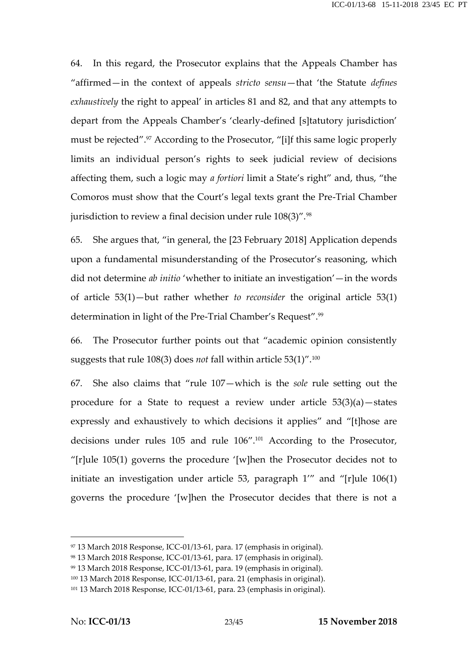64. In this regard, the Prosecutor explains that the Appeals Chamber has "affirmed—in the context of appeals *stricto sensu*—that 'the Statute *defines exhaustively* the right to appeal' in articles 81 and 82, and that any attempts to depart from the Appeals Chamber's 'clearly-defined [s]tatutory jurisdiction' must be rejected".<sup>97</sup> According to the Prosecutor, "[i]f this same logic properly limits an individual person's rights to seek judicial review of decisions affecting them, such a logic may *a fortiori* limit a State's right" and, thus, "the Comoros must show that the Court's legal texts grant the Pre-Trial Chamber jurisdiction to review a final decision under rule  $108(3)$ ".<sup>98</sup>

65. She argues that, "in general, the [23 February 2018] Application depends upon a fundamental misunderstanding of the Prosecutor's reasoning, which did not determine *ab initio* 'whether to initiate an investigation'—in the words of article 53(1)—but rather whether *to reconsider* the original article 53(1) determination in light of the Pre-Trial Chamber's Request".<sup>99</sup>

66. The Prosecutor further points out that "academic opinion consistently suggests that rule 108(3) does *not* fall within article 53(1)".<sup>100</sup>

67. She also claims that "rule 107—which is the *sole* rule setting out the procedure for a State to request a review under article 53(3)(a)—states expressly and exhaustively to which decisions it applies" and "[t]hose are decisions under rules 105 and rule 106".<sup>101</sup> According to the Prosecutor, "[r]ule 105(1) governs the procedure '[w]hen the Prosecutor decides not to initiate an investigation under article 53, paragraph 1'" and "[r]ule 106(1) governs the procedure '[w]hen the Prosecutor decides that there is not a

<sup>97</sup> 13 March 2018 Response, ICC-01/13-61, para. 17 (emphasis in original).

<sup>98</sup> 13 March 2018 Response, ICC-01/13-61, para. 17 (emphasis in original).

<sup>99</sup> 13 March 2018 Response, ICC-01/13-61, para. 19 (emphasis in original).

<sup>100</sup> 13 March 2018 Response, ICC-01/13-61, para. 21 (emphasis in original).

<sup>101</sup> 13 March 2018 Response, ICC-01/13-61, para. 23 (emphasis in original).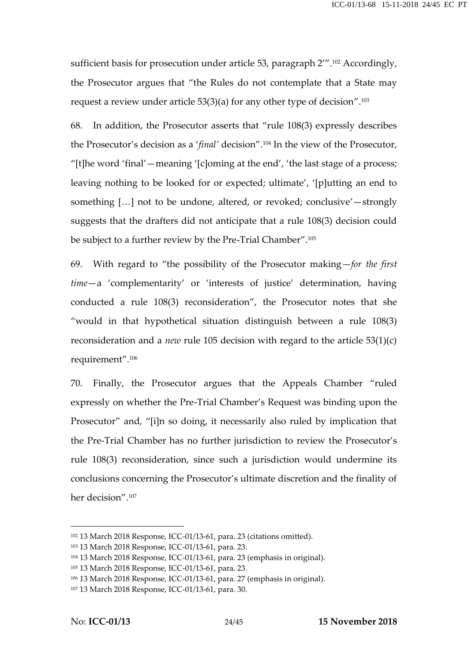sufficient basis for prosecution under article 53, paragraph 2".<sup>102</sup> Accordingly, the Prosecutor argues that "the Rules do not contemplate that a State may request a review under article 53(3)(a) for any other type of decision".<sup>103</sup>

68. In addition, the Prosecutor asserts that "rule 108(3) expressly describes the Prosecutor's decision as a '*final'* decision".<sup>104</sup> In the view of the Prosecutor, "[t]he word 'final'—meaning '[c]oming at the end', 'the last stage of a process; leaving nothing to be looked for or expected; ultimate', '[p]utting an end to something […] not to be undone, altered, or revoked; conclusive'—strongly suggests that the drafters did not anticipate that a rule 108(3) decision could be subject to a further review by the Pre-Trial Chamber".<sup>105</sup>

69. With regard to "the possibility of the Prosecutor making—*for the first time*—a 'complementarity' or 'interests of justice' determination, having conducted a rule 108(3) reconsideration", the Prosecutor notes that she "would in that hypothetical situation distinguish between a rule 108(3) reconsideration and a *new* rule 105 decision with regard to the article 53(1)(c) requirement".<sup>106</sup>

70. Finally, the Prosecutor argues that the Appeals Chamber "ruled expressly on whether the Pre-Trial Chamber's Request was binding upon the Prosecutor" and, "[i]n so doing, it necessarily also ruled by implication that the Pre-Trial Chamber has no further jurisdiction to review the Prosecutor's rule 108(3) reconsideration, since such a jurisdiction would undermine its conclusions concerning the Prosecutor's ultimate discretion and the finality of her decision".<sup>107</sup>

<sup>102</sup> 13 March 2018 Response, ICC-01/13-61, para. 23 (citations omitted).

<sup>103</sup> 13 March 2018 Response, ICC-01/13-61, para. 23.

<sup>104</sup> 13 March 2018 Response, ICC-01/13-61, para. 23 (emphasis in original).

<sup>105</sup> 13 March 2018 Response, ICC-01/13-61, para. 23.

<sup>106</sup> 13 March 2018 Response, ICC-01/13-61, para. 27 (emphasis in original).

<sup>107</sup> 13 March 2018 Response, ICC-01/13-61, para. 30.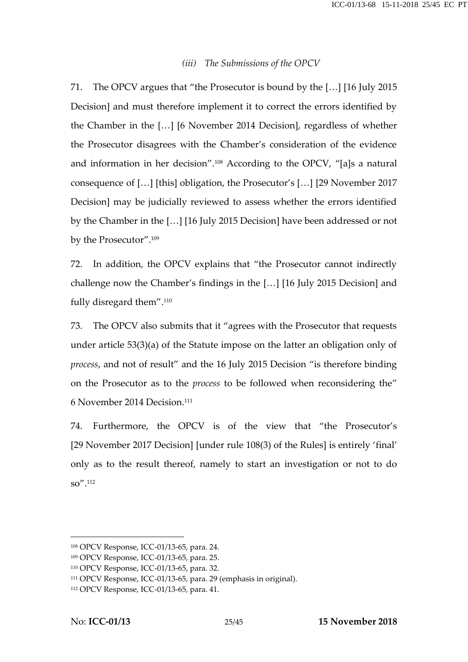#### *(iii) The Submissions of the OPCV*

71. The OPCV argues that "the Prosecutor is bound by the […] [16 July 2015 Decision] and must therefore implement it to correct the errors identified by the Chamber in the […] [6 November 2014 Decision], regardless of whether the Prosecutor disagrees with the Chamber's consideration of the evidence and information in her decision".<sup>108</sup> According to the OPCV, "[a]s a natural consequence of […] [this] obligation, the Prosecutor's […] [29 November 2017 Decision] may be judicially reviewed to assess whether the errors identified by the Chamber in the […] [16 July 2015 Decision] have been addressed or not by the Prosecutor".<sup>109</sup>

72. In addition, the OPCV explains that "the Prosecutor cannot indirectly challenge now the Chamber's findings in the […] [16 July 2015 Decision] and fully disregard them".<sup>110</sup>

73. The OPCV also submits that it "agrees with the Prosecutor that requests under article 53(3)(a) of the Statute impose on the latter an obligation only of *process*, and not of result" and the 16 July 2015 Decision "is therefore binding on the Prosecutor as to the *process* to be followed when reconsidering the" 6 November 2014 Decision.<sup>111</sup>

74. Furthermore, the OPCV is of the view that "the Prosecutor's [29 November 2017 Decision] [under rule 108(3) of the Rules] is entirely 'final' only as to the result thereof, namely to start an investigation or not to do so".<sup>112</sup>

<sup>108</sup> OPCV Response, ICC-01/13-65, para. 24.

<sup>109</sup> OPCV Response, ICC-01/13-65, para. 25.

<sup>110</sup> OPCV Response, ICC-01/13-65, para. 32.

<sup>111</sup> OPCV Response, ICC-01/13-65, para. 29 (emphasis in original).

<sup>112</sup> OPCV Response, ICC-01/13-65, para. 41.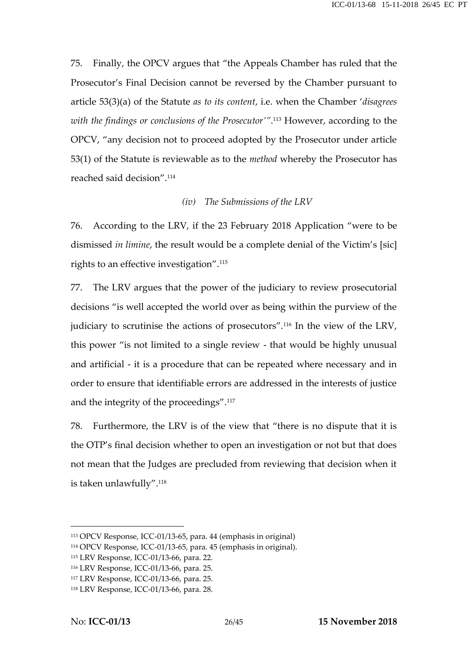75. Finally, the OPCV argues that "the Appeals Chamber has ruled that the Prosecutor's Final Decision cannot be reversed by the Chamber pursuant to article 53(3)(a) of the Statute *as to its content*, i.e. when the Chamber '*disagrees with the findings or conclusions of the Prosecutor'"*.<sup>113</sup> However, according to the OPCV, "any decision not to proceed adopted by the Prosecutor under article 53(1) of the Statute is reviewable as to the *method* whereby the Prosecutor has reached said decision".<sup>114</sup>

#### *(iv) The Submissions of the LRV*

76. According to the LRV, if the 23 February 2018 Application "were to be dismissed *in limine*, the result would be a complete denial of the Victim's [sic] rights to an effective investigation".<sup>115</sup>

77. The LRV argues that the power of the judiciary to review prosecutorial decisions "is well accepted the world over as being within the purview of the judiciary to scrutinise the actions of prosecutors".<sup>116</sup> In the view of the LRV, this power "is not limited to a single review - that would be highly unusual and artificial - it is a procedure that can be repeated where necessary and in order to ensure that identifiable errors are addressed in the interests of justice and the integrity of the proceedings".<sup>117</sup>

78. Furthermore, the LRV is of the view that "there is no dispute that it is the OTP's final decision whether to open an investigation or not but that does not mean that the Judges are precluded from reviewing that decision when it is taken unlawfully".<sup>118</sup>

<sup>113</sup> OPCV Response, ICC-01/13-65, para. 44 (emphasis in original)

<sup>114</sup> OPCV Response, ICC-01/13-65, para. 45 (emphasis in original).

<sup>115</sup> LRV Response, ICC-01/13-66, para. 22.

<sup>116</sup> LRV Response, ICC-01/13-66, para. 25.

<sup>117</sup> LRV Response, ICC-01/13-66, para. 25.

<sup>118</sup> LRV Response, ICC-01/13-66, para. 28.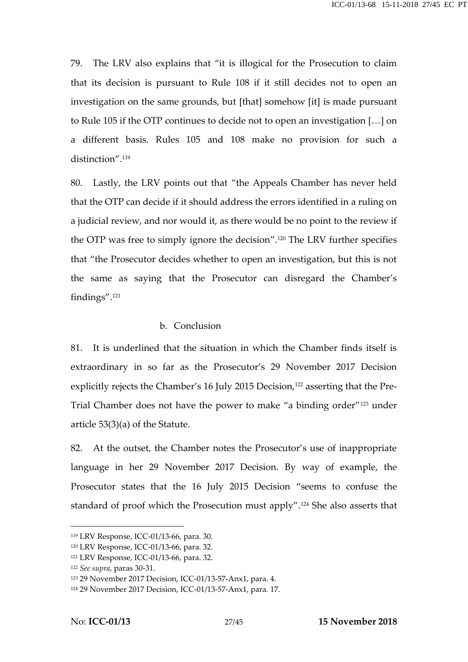79. The LRV also explains that "it is illogical for the Prosecution to claim that its decision is pursuant to Rule 108 if it still decides not to open an investigation on the same grounds, but [that] somehow [it] is made pursuant to Rule 105 if the OTP continues to decide not to open an investigation […] on a different basis. Rules 105 and 108 make no provision for such a distinction".<sup>119</sup>

80. Lastly, the LRV points out that "the Appeals Chamber has never held that the OTP can decide if it should address the errors identified in a ruling on a judicial review, and nor would it, as there would be no point to the review if the OTP was free to simply ignore the decision".<sup>120</sup> The LRV further specifies that "the Prosecutor decides whether to open an investigation, but this is not the same as saying that the Prosecutor can disregard the Chamber's findings".<sup>121</sup>

#### b. Conclusion

81. It is underlined that the situation in which the Chamber finds itself is extraordinary in so far as the Prosecutor's 29 November 2017 Decision explicitly rejects the Chamber's 16 July 2015 Decision,<sup>122</sup> asserting that the Pre-Trial Chamber does not have the power to make "a binding order"<sup>123</sup> under article 53(3)(a) of the Statute.

82. At the outset, the Chamber notes the Prosecutor's use of inappropriate language in her 29 November 2017 Decision. By way of example, the Prosecutor states that the 16 July 2015 Decision "seems to confuse the standard of proof which the Prosecution must apply".<sup>124</sup> She also asserts that

<sup>119</sup> LRV Response, ICC-01/13-66, para. 30.

<sup>120</sup> LRV Response, ICC-01/13-66, para. 32.

<sup>121</sup> LRV Response, ICC-01/13-66, para. 32.

<sup>122</sup> *See supra*, paras 30-31.

<sup>123</sup> 29 November 2017 Decision, ICC-01/13-57-Anx1, para. 4.

<sup>124</sup> 29 November 2017 Decision, ICC-01/13-57-Anx1, para. 17.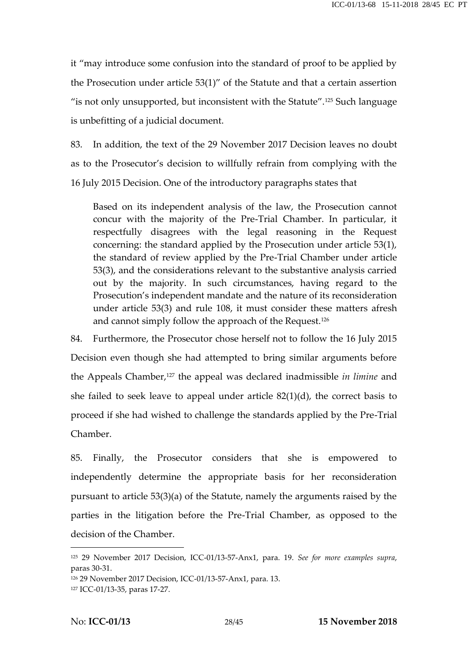it "may introduce some confusion into the standard of proof to be applied by the Prosecution under article 53(1)" of the Statute and that a certain assertion " is not only unsupported, but inconsistent with the Statute".<sup>125</sup> Such language is unbefitting of a judicial document.

83. In addition, the text of the 29 November 2017 Decision leaves no doubt as to the Prosecutor's decision to willfully refrain from complying with the 16 July 2015 Decision. One of the introductory paragraphs states that

Based on its independent analysis of the law, the Prosecution cannot concur with the majority of the Pre-Trial Chamber. In particular, it respectfully disagrees with the legal reasoning in the Request concerning: the standard applied by the Prosecution under article 53(1), the standard of review applied by the Pre-Trial Chamber under article 53(3), and the considerations relevant to the substantive analysis carried out by the majority. In such circumstances, having regard to the Prosecution's independent mandate and the nature of its reconsideration under article 53(3) and rule 108, it must consider these matters afresh and cannot simply follow the approach of the Request.<sup>126</sup>

84. Furthermore, the Prosecutor chose herself not to follow the 16 July 2015 Decision even though she had attempted to bring similar arguments before the Appeals Chamber,<sup>127</sup> the appeal was declared inadmissible *in limine* and she failed to seek leave to appeal under article 82(1)(d), the correct basis to proceed if she had wished to challenge the standards applied by the Pre-Trial Chamber.

85. Finally, the Prosecutor considers that she is empowered to independently determine the appropriate basis for her reconsideration pursuant to article 53(3)(a) of the Statute, namely the arguments raised by the parties in the litigation before the Pre-Trial Chamber, as opposed to the decision of the Chamber.

<sup>125</sup> 29 November 2017 Decision, ICC-01/13-57-Anx1, para. 19. *See for more examples supra*, paras 30-31.

<sup>126</sup> 29 November 2017 Decision, ICC-01/13-57-Anx1, para. 13. <sup>127</sup> ICC-01/13-35, paras 17-27.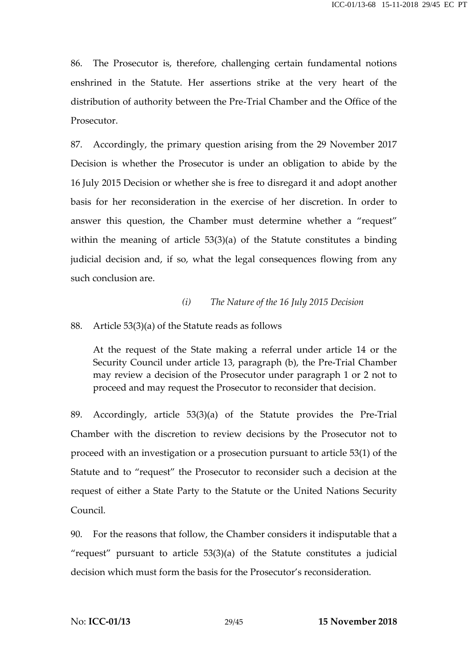86. The Prosecutor is, therefore, challenging certain fundamental notions enshrined in the Statute. Her assertions strike at the very heart of the distribution of authority between the Pre-Trial Chamber and the Office of the Prosecutor.

87. Accordingly, the primary question arising from the 29 November 2017 Decision is whether the Prosecutor is under an obligation to abide by the 16 July 2015 Decision or whether she is free to disregard it and adopt another basis for her reconsideration in the exercise of her discretion. In order to answer this question, the Chamber must determine whether a "request" within the meaning of article 53(3)(a) of the Statute constitutes a binding judicial decision and, if so, what the legal consequences flowing from any such conclusion are.

#### *(i) The Nature of the 16 July 2015 Decision*

#### 88. Article 53(3)(a) of the Statute reads as follows

At the request of the State making a referral under article 14 or the Security Council under article 13, paragraph (b), the Pre-Trial Chamber may review a decision of the Prosecutor under paragraph 1 or 2 not to proceed and may request the Prosecutor to reconsider that decision.

89. Accordingly, article 53(3)(a) of the Statute provides the Pre-Trial Chamber with the discretion to review decisions by the Prosecutor not to proceed with an investigation or a prosecution pursuant to article 53(1) of the Statute and to "request" the Prosecutor to reconsider such a decision at the request of either a State Party to the Statute or the United Nations Security Council.

90. For the reasons that follow, the Chamber considers it indisputable that a "request" pursuant to article  $53(3)(a)$  of the Statute constitutes a judicial decision which must form the basis for the Prosecutor's reconsideration.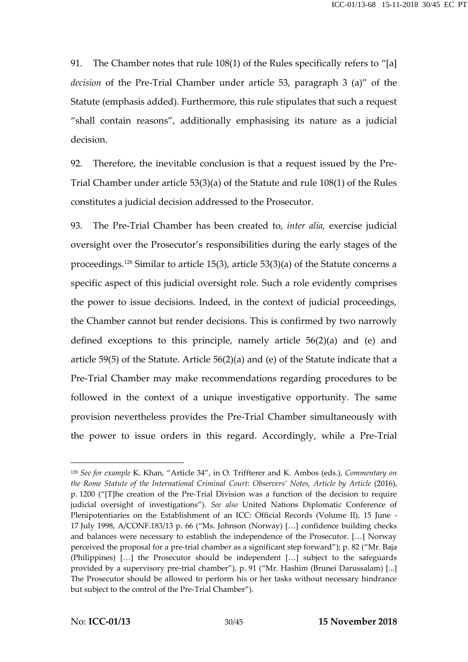91. The Chamber notes that rule 108(1) of the Rules specifically refers to "[a] *decision* of the Pre-Trial Chamber under article 53, paragraph 3 (a)" of the Statute (emphasis added). Furthermore, this rule stipulates that such a request "shall contain reasons", additionally emphasising its nature as a judicial decision.

92. Therefore, the inevitable conclusion is that a request issued by the Pre- Trial Chamber under article 53(3)(a) of the Statute and rule 108(1) of the Rules constitutes a judicial decision addressed to the Prosecutor.

93. The Pre-Trial Chamber has been created to, *inter alia,* exercise judicial oversight over the Prosecutor's responsibilities during the early stages of the proceedings.<sup>128</sup> Similar to article 15(3), article 53(3)(a) of the Statute concerns a specific aspect of this judicial oversight role. Such a role evidently comprises the power to issue decisions. Indeed, in the context of judicial proceedings, the Chamber cannot but render decisions. This is confirmed by two narrowly defined exceptions to this principle, namely article 56(2)(a) and (e) and article 59(5) of the Statute. Article 56(2)(a) and (e) of the Statute indicate that a Pre-Trial Chamber may make recommendations regarding procedures to be followed in the context of a unique investigative opportunity. The same provision nevertheless provides the Pre-Trial Chamber simultaneously with the power to issue orders in this regard. Accordingly, while a Pre-Trial

<sup>128</sup> *See for example* K. Khan, "Article 34", in O. Triffterer and K. Ambos (eds.), *Commentary on the Rome Statute of the International Criminal Court: Observers' Notes, Article by Article* (2016), p. 1200 ("[T]he creation of the Pre-Trial Division was a function of the decision to require judicial oversight of investigations"). *See also* United Nations Diplomatic Conference of Plenipotentiaries on the Establishment of an ICC: Official Records (Volume II), 15 June - 17 July 1998, A/CONF.183/13 p. 66 ("Ms. Johnson (Norway) […] confidence building checks and balances were necessary to establish the independence of the Prosecutor. […] Norway perceived the proposal for a pre-trial chamber as a significant step forward"); p. 82 ("Mr. Baja (Philippines) […] the Prosecutor should be independent […] subject to the safeguards provided by a supervisory pre-trial chamber"), p. 91 ("Mr. Hashim (Brunei Darussalam) [...] The Prosecutor should be allowed to perform his or her tasks without necessary hindrance but subject to the control of the Pre-Trial Chamber").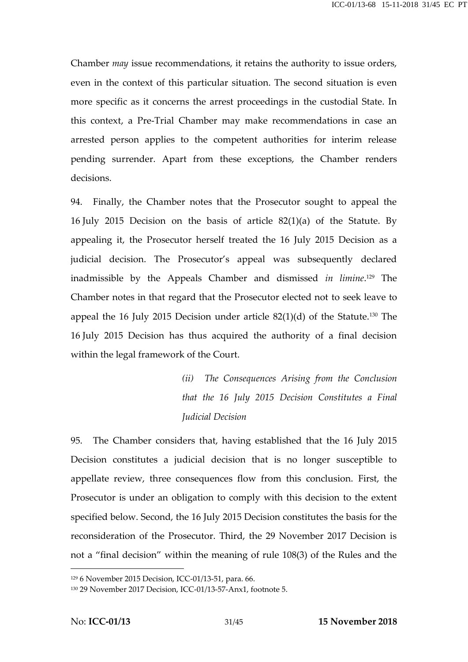Chamber *may* issue recommendations, it retains the authority to issue orders, even in the context of this particular situation. The second situation is even more specific as it concerns the arrest proceedings in the custodial State. In this context, a Pre-Trial Chamber may make recommendations in case an arrested person applies to the competent authorities for interim release pending surrender. Apart from these exceptions, the Chamber renders decisions.

94. Finally, the Chamber notes that the Prosecutor sought to appeal the 16 July 2015 Decision on the basis of article 82(1)(a) of the Statute. By appealing it, the Prosecutor herself treated the 16 July 2015 Decision as a judicial decision. The Prosecutor's appeal was subsequently declared inadmissible by the Appeals Chamber and dismissed *in limine*.<sup>129</sup> The Chamber notes in that regard that the Prosecutor elected not to seek leave to appeal the 16 July 2015 Decision under article 82(1)(d) of the Statute.<sup>130</sup> The 16 July 2015 Decision has thus acquired the authority of a final decision within the legal framework of the Court.

> *(ii) The Consequences Arising from the Conclusion that the 16 July 2015 Decision Constitutes a Final Judicial Decision*

95. The Chamber considers that, having established that the 16 July 2015 Decision constitutes a judicial decision that is no longer susceptible to appellate review, three consequences flow from this conclusion. First, the Prosecutor is under an obligation to comply with this decision to the extent specified below. Second, the 16 July 2015 Decision constitutes the basis for the reconsideration of the Prosecutor. Third, the 29 November 2017 Decision is not a "final decision" within the meaning of rule 108(3) of the Rules and the

<sup>129</sup> 6 November 2015 Decision, ICC-01/13-51, para. 66.

<sup>130</sup> 29 November 2017 Decision, ICC-01/13-57-Anx1, footnote 5.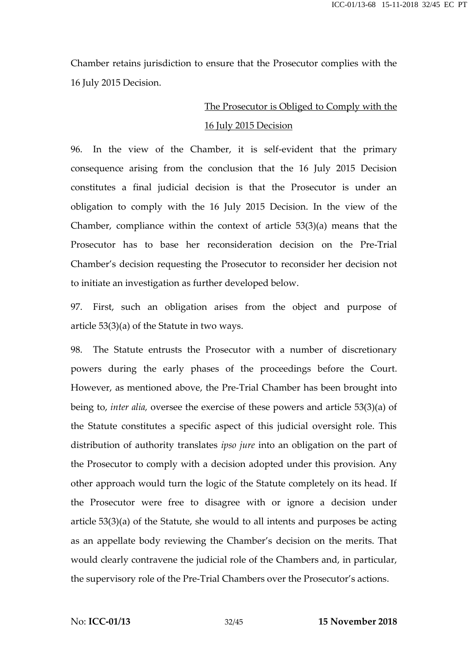Chamber retains jurisdiction to ensure that the Prosecutor complies with the 16 July 2015 Decision.

### The Prosecutor is Obliged to Comply with the 16 July 2015 Decision

96. In the view of the Chamber, it is self-evident that the primary consequence arising from the conclusion that the 16 July 2015 Decision constitutes a final judicial decision is that the Prosecutor is under an obligation to comply with the 16 July 2015 Decision. In the view of the Chamber, compliance within the context of article 53(3)(a) means that the Prosecutor has to base her reconsideration decision on the Pre-Trial Chamber's decision requesting the Prosecutor to reconsider her decision not to initiate an investigation as further developed below.

97. First, such an obligation arises from the object and purpose of article 53(3)(a) of the Statute in two ways.

98. The Statute entrusts the Prosecutor with a number of discretionary powers during the early phases of the proceedings before the Court. However, as mentioned above, the Pre-Trial Chamber has been brought into being to, *inter alia,* oversee the exercise of these powers and article 53(3)(a) of the Statute constitutes a specific aspect of this judicial oversight role. This distribution of authority translates *ipso jure* into an obligation on the part of the Prosecutor to comply with a decision adopted under this provision. Any other approach would turn the logic of the Statute completely on its head. If the Prosecutor were free to disagree with or ignore a decision under article 53(3)(a) of the Statute, she would to all intents and purposes be acting as an appellate body reviewing the Chamber's decision on the merits. That would clearly contravene the judicial role of the Chambers and, in particular, the supervisory role of the Pre-Trial Chambers over the Prosecutor's actions.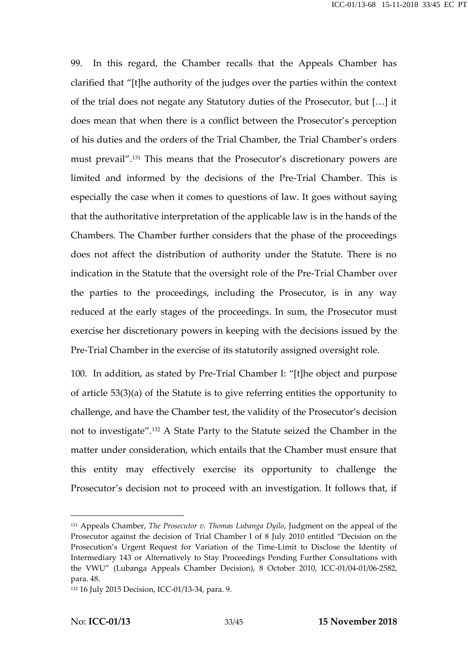99. In this regard, the Chamber recalls that the Appeals Chamber has clarified that "[t]he authority of the judges over the parties within the context of the trial does not negate any Statutory duties of the Prosecutor, but […] it does mean that when there is a conflict between the Prosecutor's perception of his duties and the orders of the Trial Chamber, the Trial Chamber's orders must prevail".<sup>131</sup> This means that the Prosecutor's discretionary powers are limited and informed by the decisions of the Pre-Trial Chamber. This is especially the case when it comes to questions of law. It goes without saying that the authoritative interpretation of the applicable law is in the hands of the Chambers. The Chamber further considers that the phase of the proceedings does not affect the distribution of authority under the Statute. There is no indication in the Statute that the oversight role of the Pre-Trial Chamber over the parties to the proceedings, including the Prosecutor, is in any way reduced at the early stages of the proceedings. In sum, the Prosecutor must exercise her discretionary powers in keeping with the decisions issued by the Pre-Trial Chamber in the exercise of its statutorily assigned oversight role.

100. In addition, as stated by Pre-Trial Chamber I: "[t]he object and purpose of article 53(3)(a) of the Statute is to give referring entities the opportunity to challenge, and have the Chamber test, the validity of the Prosecutor's decision not to investigate".<sup>132</sup> A State Party to the Statute seized the Chamber in the matter under consideration, which entails that the Chamber must ensure that this entity may effectively exercise its opportunity to challenge the Prosecutor's decision not to proceed with an investigation. It follows that, if

<sup>131</sup> Appeals Chamber, *The Prosecutor v. Thomas Lubanga Dyilo*, Judgment on the appeal of the Prosecutor against the decision of Trial Chamber I of 8 July 2010 entitled "Decision on the Prosecution's Urgent Request for Variation of the Time-Limit to Disclose the Identity of Intermediary 143 or Alternatively to Stay Proceedings Pending Further Consultations with the VWU" (Lubanga Appeals Chamber Decision), 8 October 2010, ICC-01/04-01/06-2582, para. 48.

<sup>132</sup> 16 July 2015 Decision, ICC-01/13-34, para. 9.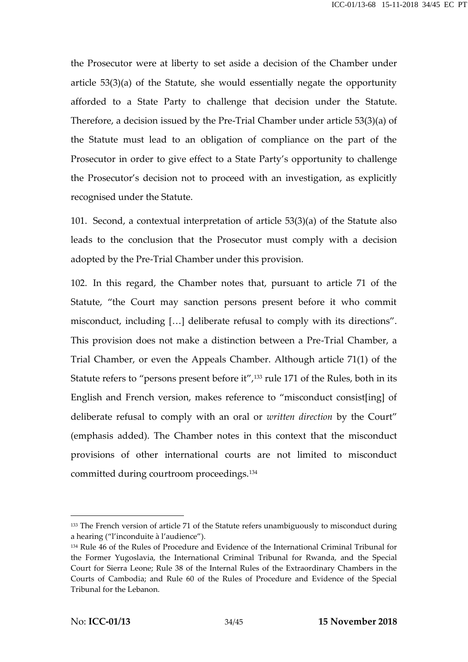the Prosecutor were at liberty to set aside a decision of the Chamber under article 53(3)(a) of the Statute, she would essentially negate the opportunity afforded to a State Party to challenge that decision under the Statute. Therefore, a decision issued by the Pre-Trial Chamber under article 53(3)(a) of the Statute must lead to an obligation of compliance on the part of the Prosecutor in order to give effect to a State Party's opportunity to challenge the Prosecutor's decision not to proceed with an investigation, as explicitly recognised under the Statute.

101. Second, a contextual interpretation of article 53(3)(a) of the Statute also leads to the conclusion that the Prosecutor must comply with a decision adopted by the Pre-Trial Chamber under this provision.

102. In this regard, the Chamber notes that, pursuant to article 71 of the Statute, "the Court may sanction persons present before it who commit misconduct, including […] deliberate refusal to comply with its directions". This provision does not make a distinction between a Pre-Trial Chamber, a Trial Chamber, or even the Appeals Chamber. Although article 71(1) of the Statute refers to "persons present before it",<sup>133</sup> rule 171 of the Rules, both in its English and French version, makes reference to "misconduct consist[ing] of deliberate refusal to comply with an oral or *written direction* by the Court" (emphasis added). The Chamber notes in this context that the misconduct provisions of other international courts are not limited to misconduct committed during courtroom proceedings.<sup>134</sup>

<sup>&</sup>lt;sup>133</sup> The French version of article 71 of the Statute refers unambiguously to misconduct during a hearing ("l'inconduite à l'audience").

<sup>134</sup> Rule 46 of the Rules of Procedure and Evidence of the International Criminal Tribunal for the Former Yugoslavia, the International Criminal Tribunal for Rwanda, and the Special Court for Sierra Leone; Rule 38 of the Internal Rules of the Extraordinary Chambers in the Courts of Cambodia; and Rule 60 of the Rules of Procedure and Evidence of the Special Tribunal for the Lebanon.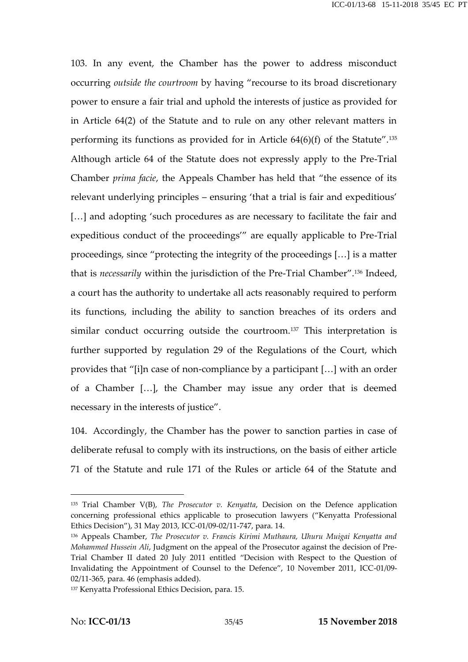103. In any event, the Chamber has the power to address misconduct occurring *outside the courtroom* by having "recourse to its broad discretionary power to ensure a fair trial and uphold the interests of justice as provided for in Article 64(2) of the Statute and to rule on any other relevant matters in performing its functions as provided for in Article 64(6)(f) of the Statute".<sup>135</sup> Although article 64 of the Statute does not expressly apply to the Pre-Trial Chamber *prima facie*, the Appeals Chamber has held that "the essence of its relevant underlying principles – ensuring 'that a trial is fair and expeditious' [...] and adopting 'such procedures as are necessary to facilitate the fair and expeditious conduct of the proceedings'" are equally applicable to Pre-Trial proceedings, since "protecting the integrity of the proceedings […] is a matter that is *necessarily* within the jurisdiction of the Pre-Trial Chamber".<sup>136</sup> Indeed, a court has the authority to undertake all acts reasonably required to perform its functions, including the ability to sanction breaches of its orders and similar conduct occurring outside the courtroom.<sup>137</sup> This interpretation is further supported by regulation 29 of the Regulations of the Court, which provides that "[i]n case of non-compliance by a participant […] with an order of a Chamber […], the Chamber may issue any order that is deemed necessary in the interests of justice".

104. Accordingly, the Chamber has the power to sanction parties in case of deliberate refusal to comply with its instructions, on the basis of either article 71 of the Statute and rule 171 of the Rules or article 64 of the Statute and

<sup>135</sup> Trial Chamber V(B), *The Prosecutor v. Kenyatta*, Decision on the Defence application concerning professional ethics applicable to prosecution lawyers ("Kenyatta Professional Ethics Decision"), 31 May 2013, ICC-01/09-02/11-747, para. 14.

<sup>136</sup> Appeals Chamber, *The Prosecutor v. Francis Kirimi Muthaura, Uhuru Muigai Kenyatta and Mohammed Hussein Ali*, Judgment on the appeal of the Prosecutor against the decision of Pre- Trial Chamber II dated 20 July 2011 entitled "Decision with Respect to the Question of Invalidating the Appointment of Counsel to the Defence", 10 November 2011, ICC-01/09- 02/11-365, para. 46 (emphasis added).

<sup>137</sup> Kenyatta Professional Ethics Decision, para. 15.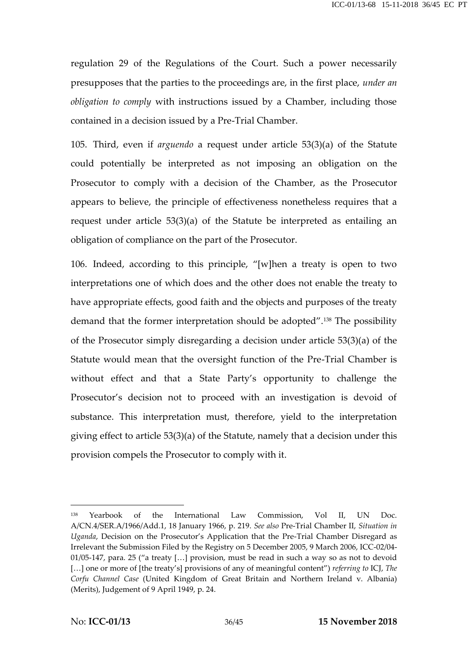regulation 29 of the Regulations of the Court. Such a power necessarily presupposes that the parties to the proceedings are, in the first place, *under an obligation to comply* with instructions issued by a Chamber, including those contained in a decision issued by a Pre-Trial Chamber.

105. Third, even if *arguendo* a request under article 53(3)(a) of the Statute could potentially be interpreted as not imposing an obligation on the Prosecutor to comply with a decision of the Chamber, as the Prosecutor appears to believe, the principle of effectiveness nonetheless requires that a request under article 53(3)(a) of the Statute be interpreted as entailing an obligation of compliance on the part of the Prosecutor.

106. Indeed, according to this principle, "[w]hen a treaty is open to two interpretations one of which does and the other does not enable the treaty to have appropriate effects, good faith and the objects and purposes of the treaty demand that the former interpretation should be adopted".<sup>138</sup> The possibility of the Prosecutor simply disregarding a decision under article 53(3)(a) of the Statute would mean that the oversight function of the Pre-Trial Chamber is without effect and that a State Party's opportunity to challenge the Prosecutor's decision not to proceed with an investigation is devoid of substance. This interpretation must, therefore, yield to the interpretation giving effect to article 53(3)(a) of the Statute, namely that a decision under this provision compels the Prosecutor to comply with it.

<sup>138</sup> Yearbook of the International Law Commission, Vol II, UN Doc. A/CN.4/SER.A/1966/Add.1, 18 January 1966, p. 219. *See also* Pre-Trial Chamber II, *Situation in Uganda*, Decision on the Prosecutor's Application that the Pre-Trial Chamber Disregard as Irrelevant the Submission Filed by the Registry on 5 December 2005, 9 March 2006, ICC-02/04- 01/05-147, para. 25 ("a treaty […] provision, must be read in such a way so as not to devoid […] one or more of [the treaty's] provisions of any of meaningful content") *referring to* ICJ, *The Corfu Channel Case* (United Kingdom of Great Britain and Northern Ireland v. Albania) (Merits), Judgement of 9 April 1949, p. 24.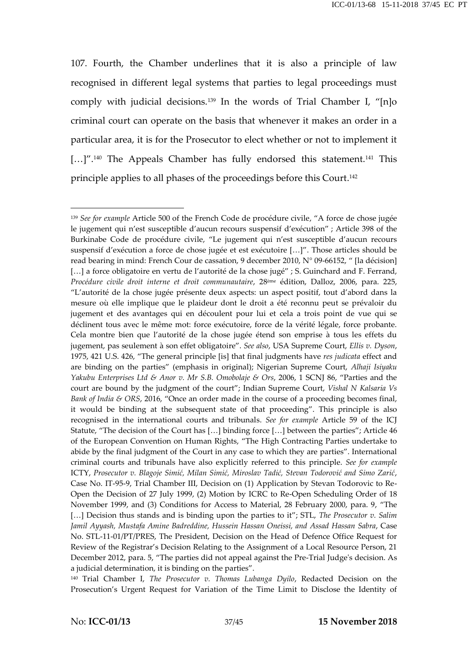107. Fourth, the Chamber underlines that it is also a principle of law recognised in different legal systems that parties to legal proceedings must comply with judicial decisions.<sup>139</sup> In the words of Trial Chamber I, "[n]o criminal court can operate on the basis that whenever it makes an order in a particular area, it is for the Prosecutor to elect whether or not to implement it [...]".<sup>140</sup> The Appeals Chamber has fully endorsed this statement.<sup>141</sup> This principle applies to all phases of the proceedings before this Court.<sup>142</sup>

<sup>140</sup> Trial Chamber I, *The Prosecutor v. Thomas Lubanga Dyilo*, Redacted Decision on the Prosecution's Urgent Request for Variation of the Time Limit to Disclose the Identity of

<sup>139</sup> *See for example* Article 500 of the French Code de procédure civile, "A force de chose jugée le jugement qui n'est susceptible d'aucun recours suspensif d'exécution" ; Article 398 of the Burkinabe Code de procédure civile, "Le jugement qui n'est susceptible d'aucun recours suspensif d'exécution a force de chose jugée et est exécutoire […]". Those articles should be read bearing in mind: French Cour de cassation, 9 december 2010, N° 09-66152, " [la décision] [...] a force obligatoire en vertu de l'autorité de la chose jugé" ; S. Guinchard and F. Ferrand, *Procédure civile droit interne et droit communautaire*, 28ème édition, Dalloz, 2006, para. 225, "L'autorité de la chose jugée présente deux aspects: un aspect positif, tout d'abord dans la mesure où elle implique que le plaideur dont le droit a été reconnu peut se prévaloir du jugement et des avantages qui en découlent pour lui et cela a trois point de vue qui se déclinent tous avec le même mot: force exécutoire, force de la vérité légale, force probante. Cela montre bien que l'autorité de la chose jugée étend son emprise à tous les effets du jugement, pas seulement à son effet obligatoire". *See also*, USA Supreme Court, *Ellis v. Dyson*, 1975, 421 U.S. 426, "The general principle [is] that final judgments have *res judicata* effect and are binding on the parties" (emphasis in original); Nigerian Supreme Court, *Alhaji Isiyaku Yakubu Enterprises Ltd & Anor v. Mr S.B. Omobolaje & Ors*, 2006, 1 SCNJ 86, "Parties and the court are bound by the judgment of the court"; Indian Supreme Court, *Vishal N Kalsaria Vs Bank of India & ORS*, 2016, "Once an order made in the course of a proceeding becomes final, it would be binding at the subsequent state of that proceeding". This principle is also recognised in the international courts and tribunals. *See for example* Article 59 of the ICJ Statute, "The decision of the Court has […] binding force […] between the parties"; Article 46 of the European Convention on Human Rights, "The High Contracting Parties undertake to abide by the final judgment of the Court in any case to which they are parties". International criminal courts and tribunals have also explicitly referred to this principle. *See for example* ICTY, *Prosecutor v. Blagoje Simić, Milan Simić, Miroslav Tadić, Stevan Todorović and Simo Zarić*, Case No. IT-95-9, Trial Chamber III, Decision on (1) Application by Stevan Todorovic to Re- Open the Decision of 27 July 1999, (2) Motion by ICRC to Re-Open Scheduling Order of 18 November 1999, and (3) Conditions for Access to Material, 28 February 2000, para. 9, "The […] Decision thus stands and is binding upon the parties to it"; STL, *The Prosecutor v. Salim Jamil Ayyash, Mustafa Amine Badreddine, Hussein Hassan Oneissi, and Assad Hassan Sabra*, Case No. STL-11-01/PT/PRES, The President, Decision on the Head of Defence Office Request for Review of the Registrar's Decision Relating to the Assignment of a Local Resource Person, 21 December 2012, para. 5, "The parties did not appeal against the Pre-Trial Judge's decision. As a judicial determination, it is binding on the parties".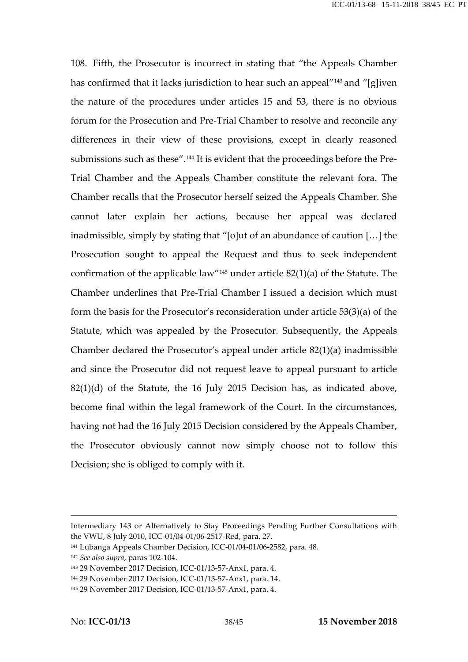108. Fifth, the Prosecutor is incorrect in stating that "the Appeals Chamber has confirmed that it lacks jurisdiction to hear such an appeal<sup>"143</sup> and "[g]iven the nature of the procedures under articles 15 and 53, there is no obvious forum for the Prosecution and Pre-Trial Chamber to resolve and reconcile any differences in their view of these provisions, except in clearly reasoned submissions such as these".<sup>144</sup> It is evident that the proceedings before the Pre- Trial Chamber and the Appeals Chamber constitute the relevant fora. The Chamber recalls that the Prosecutor herself seized the Appeals Chamber. She cannot later explain her actions, because her appeal was declared inadmissible, simply by stating that "[o]ut of an abundance of caution […] the Prosecution sought to appeal the Request and thus to seek independent confirmation of the applicable law" <sup>145</sup> under article 82(1)(a) of the Statute. The Chamber underlines that Pre-Trial Chamber I issued a decision which must form the basis for the Prosecutor's reconsideration under article 53(3)(a) of the Statute, which was appealed by the Prosecutor. Subsequently, the Appeals Chamber declared the Prosecutor's appeal under article 82(1)(a) inadmissible and since the Prosecutor did not request leave to appeal pursuant to article 82(1)(d) of the Statute, the 16 July 2015 Decision has, as indicated above, become final within the legal framework of the Court. In the circumstances, having not had the 16 July 2015 Decision considered by the Appeals Chamber, the Prosecutor obviously cannot now simply choose not to follow this Decision; she is obliged to comply with it.

Intermediary 143 or Alternatively to Stay Proceedings Pending Further Consultations with the VWU, 8 July 2010, ICC-01/04-01/06-2517-Red, para. 27.

<sup>141</sup> Lubanga Appeals Chamber Decision, ICC-01/04-01/06-2582, para. 48.

<sup>142</sup> *See also supra*, paras 102-104.

<sup>143</sup> 29 November 2017 Decision, ICC-01/13-57-Anx1, para. 4.

<sup>144</sup> 29 November 2017 Decision, ICC-01/13-57-Anx1, para. 14.

<sup>145</sup> 29 November 2017 Decision, ICC-01/13-57-Anx1, para. 4.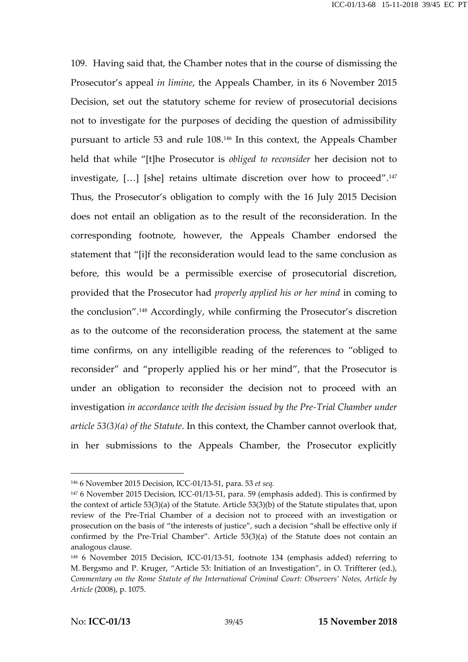109. Having said that, the Chamber notes that in the course of dismissing the Prosecutor's appeal *in limine*, the Appeals Chamber, in its 6 November 2015 Decision, set out the statutory scheme for review of prosecutorial decisions not to investigate for the purposes of deciding the question of admissibility pursuant to article 53 and rule 108.<sup>146</sup> In this context, the Appeals Chamber held that while "[t]he Prosecutor is *obliged to reconsider* her decision not to investigate, […] [she] retains ultimate discretion over how to proceed".<sup>147</sup> Thus, the Prosecutor's obligation to comply with the 16 July 2015 Decision does not entail an obligation as to the result of the reconsideration. In the corresponding footnote, however, the Appeals Chamber endorsed the statement that "[i]f the reconsideration would lead to the same conclusion as before, this would be a permissible exercise of prosecutorial discretion, provided that the Prosecutor had *properly applied his or her mind* in coming to the conclusion".<sup>148</sup> Accordingly, while confirming the Prosecutor's discretion as to the outcome of the reconsideration process, the statement at the same time confirms, on any intelligible reading of the references to "obliged to reconsider" and "properly applied his or her mind", that the Prosecutor is under an obligation to reconsider the decision not to proceed with an investigation *in accordance with the decision issued by the Pre-Trial Chamber under article 53(3)(a) of the Statute*. In this context, the Chamber cannot overlook that, in her submissions to the Appeals Chamber, the Prosecutor explicitly

<sup>146</sup> 6 November 2015 Decision, ICC-01/13-51, para. 53 *et seq.*

<sup>147</sup> 6 November 2015 Decision, ICC-01/13-51, para. 59 (emphasis added). This is confirmed by the context of article 53(3)(a) of the Statute. Article 53(3)(b) of the Statute stipulates that, upon review of the Pre-Trial Chamber of a decision not to proceed with an investigation or prosecution on the basis of "the interests of justice", such a decision "shall be effective only if confirmed by the Pre-Trial Chamber". Article 53(3)(a) of the Statute does not contain an analogous clause.

<sup>148</sup> 6 November 2015 Decision, ICC-01/13-51, footnote 134 (emphasis added) referring to M. Bergsmo and P. Kruger, "Article 53: Initiation of an Investigation", in O. Triffterer (ed.), *Commentary on the Rome Statute of the International Criminal Court: Observers' Notes, Article by Article* (2008), p. 1075.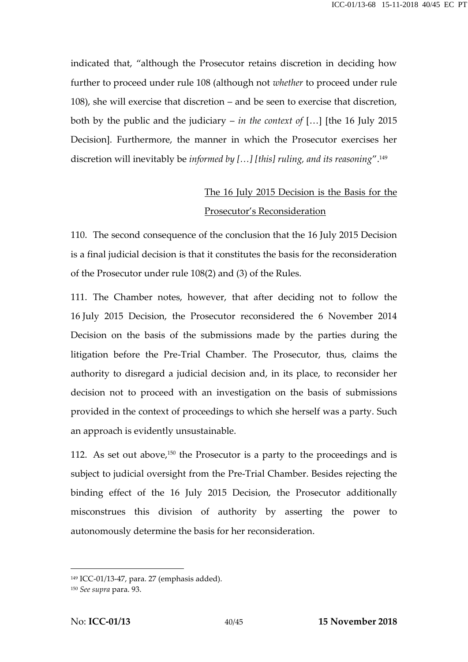indicated that, "although the Prosecutor retains discretion in deciding how further to proceed under rule 108 (although not *whether* to proceed under rule 108), she will exercise that discretion – and be seen to exercise that discretion, both by the public and the judiciary – *in the context of* […] [the 16 July 2015 Decision]. Furthermore, the manner in which the Prosecutor exercises her discretion will inevitably be *informed by […] [this] ruling, and its reasoning*".<sup>149</sup>

# The 16 July 2015 Decision is the Basis for the Prosecutor's Reconsideration

110. The second consequence of the conclusion that the 16 July 2015 Decision is a final judicial decision is that it constitutes the basis for the reconsideration of the Prosecutor under rule 108(2) and (3) of the Rules.

111. The Chamber notes, however, that after deciding not to follow the 16 July 2015 Decision, the Prosecutor reconsidered the 6 November 2014 Decision on the basis of the submissions made by the parties during the litigation before the Pre-Trial Chamber. The Prosecutor, thus, claims the authority to disregard a judicial decision and, in its place, to reconsider her decision not to proceed with an investigation on the basis of submissions provided in the context of proceedings to which she herself was a party. Such an approach is evidently unsustainable.

112. As set out above,<sup>150</sup> the Prosecutor is a party to the proceedings and is subject to judicial oversight from the Pre-Trial Chamber. Besides rejecting the binding effect of the 16 July 2015 Decision, the Prosecutor additionally misconstrues this division of authority by asserting the power to autonomously determine the basis for her reconsideration.

<sup>149</sup> ICC-01/13-47, para. 27 (emphasis added).

<sup>150</sup> *See supra* para. 93.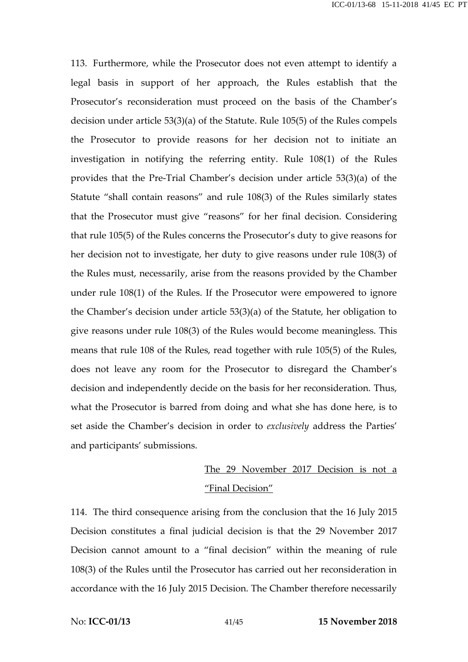113. Furthermore, while the Prosecutor does not even attempt to identify a legal basis in support of her approach, the Rules establish that the Prosecutor's reconsideration must proceed on the basis of the Chamber's decision under article 53(3)(a) of the Statute. Rule 105(5) of the Rules compels the Prosecutor to provide reasons for her decision not to initiate an investigation in notifying the referring entity. Rule 108(1) of the Rules provides that the Pre-Trial Chamber's decision under article 53(3)(a) of the Statute "shall contain reasons" and rule 108(3) of the Rules similarly states that the Prosecutor must give "reasons" for her final decision. Considering that rule 105(5) of the Rules concerns the Prosecutor's duty to give reasons for her decision not to investigate, her duty to give reasons under rule 108(3) of the Rules must, necessarily, arise from the reasons provided by the Chamber under rule 108(1) of the Rules. If the Prosecutor were empowered to ignore the Chamber's decision under article 53(3)(a) of the Statute, her obligation to give reasons under rule 108(3) of the Rules would become meaningless. This means that rule 108 of the Rules, read together with rule 105(5) of the Rules, does not leave any room for the Prosecutor to disregard the Chamber's decision and independently decide on the basis for her reconsideration. Thus, what the Prosecutor is barred from doing and what she has done here, is to set aside the Chamber's decision in order to *exclusively* address the Parties' and participants' submissions.

### The 29 November 2017 Decision is not a "Final Decision"

114. The third consequence arising from the conclusion that the 16 July 2015 Decision constitutes a final judicial decision is that the 29 November 2017 Decision cannot amount to a "final decision" within the meaning of rule 108(3) of the Rules until the Prosecutor has carried out her reconsideration in accordance with the 16 July 2015 Decision. The Chamber therefore necessarily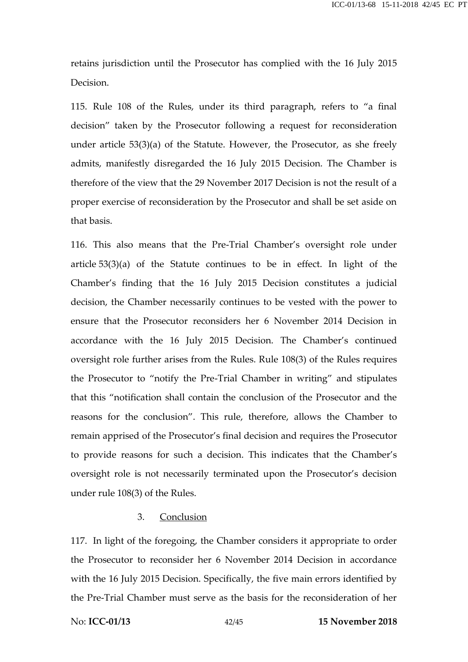retains jurisdiction until the Prosecutor has complied with the 16 July 2015 Decision.

115. Rule 108 of the Rules, under its third paragraph, refers to "a final decision" taken by the Prosecutor following a request for reconsideration under article 53(3)(a) of the Statute. However, the Prosecutor, as she freely admits, manifestly disregarded the 16 July 2015 Decision. The Chamber is therefore of the view that the 29 November 2017 Decision is not the result of a proper exercise of reconsideration by the Prosecutor and shall be set aside on that basis.

116. This also means that the Pre-Trial Chamber's oversight role under article 53(3)(a) of the Statute continues to be in effect. In light of the Chamber's finding that the 16 July 2015 Decision constitutes a judicial decision, the Chamber necessarily continues to be vested with the power to ensure that the Prosecutor reconsiders her 6 November 2014 Decision in accordance with the 16 July 2015 Decision. The Chamber's continued oversight role further arises from the Rules. Rule 108(3) of the Rules requires the Prosecutor to "notify the Pre-Trial Chamber in writing" and stipulates that this "notification shall contain the conclusion of the Prosecutor and the reasons for the conclusion". This rule, therefore, allows the Chamber to remain apprised of the Prosecutor's final decision and requires the Prosecutor to provide reasons for such a decision. This indicates that the Chamber's oversight role is not necessarily terminated upon the Prosecutor's decision under rule 108(3) of the Rules.

#### 3. Conclusion

117. In light of the foregoing, the Chamber considers it appropriate to order the Prosecutor to reconsider her 6 November 2014 Decision in accordance with the 16 July 2015 Decision. Specifically, the five main errors identified by the Pre-Trial Chamber must serve as the basis for the reconsideration of her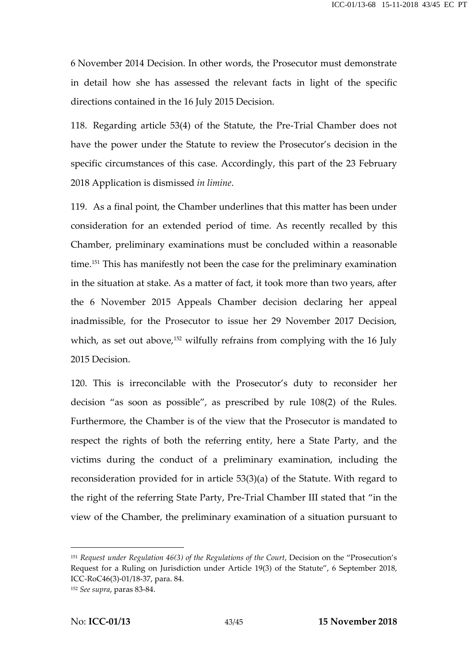6 November 2014 Decision. In other words, the Prosecutor must demonstrate in detail how she has assessed the relevant facts in light of the specific directions contained in the 16 July 2015 Decision.

118. Regarding article 53(4) of the Statute, the Pre-Trial Chamber does not have the power under the Statute to review the Prosecutor's decision in the specific circumstances of this case. Accordingly, this part of the 23 February 2018 Application is dismissed *in limine*.

119. As a final point, the Chamber underlines that this matter has been under consideration for an extended period of time. As recently recalled by this Chamber, preliminary examinations must be concluded within a reasonable time.<sup>151</sup> This has manifestly not been the case for the preliminary examination in the situation at stake. As a matter of fact, it took more than two years, after the 6 November 2015 Appeals Chamber decision declaring her appeal inadmissible, for the Prosecutor to issue her 29 November 2017 Decision, which, as set out above,<sup>152</sup> wilfully refrains from complying with the 16 July 2015 Decision.

120. This is irreconcilable with the Prosecutor's duty to reconsider her decision "as soon as possible", as prescribed by rule 108(2) of the Rules. Furthermore, the Chamber is of the view that the Prosecutor is mandated to respect the rights of both the referring entity, here a State Party, and the victims during the conduct of a preliminary examination, including the reconsideration provided for in article 53(3)(a) of the Statute. With regard to the right of the referring State Party, Pre-Trial Chamber III stated that "in the view of the Chamber, the preliminary examination of a situation pursuant to

<sup>151</sup> *Request under Regulation 46(3) of the Regulations of the Court*, Decision on the "Prosecution's Request for a Ruling on Jurisdiction under Article 19(3) of the Statute", 6 September 2018, ICC-RoC46(3)-01/18-37, para. 84.

<sup>152</sup> *See supra*, paras 83-84.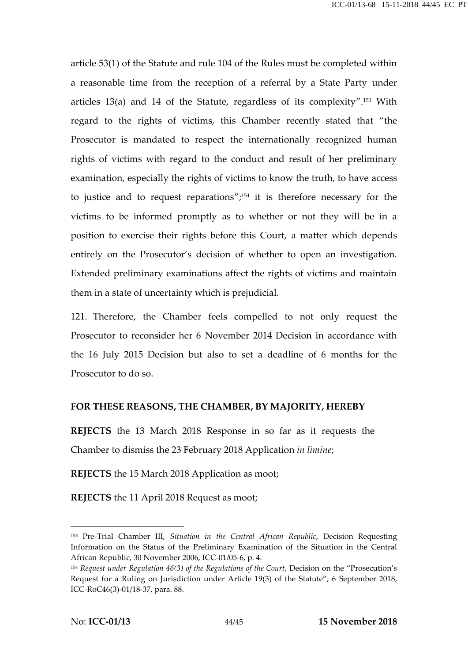article 53(1) of the Statute and rule 104 of the Rules must be completed within a reasonable time from the reception of a referral by a State Party under articles 13(a) and 14 of the Statute, regardless of its complexity".<sup>153</sup> With regard to the rights of victims, this Chamber recently stated that "the Prosecutor is mandated to respect the internationally recognized human rights of victims with regard to the conduct and result of her preliminary examination, especially the rights of victims to know the truth, to have access to justice and to request reparations"; $^{154}$  it is therefore necessary for the victims to be informed promptly as to whether or not they will be in a position to exercise their rights before this Court, a matter which depends entirely on the Prosecutor's decision of whether to open an investigation. Extended preliminary examinations affect the rights of victims and maintain them in a state of uncertainty which is prejudicial.

121. Therefore, the Chamber feels compelled to not only request the Prosecutor to reconsider her 6 November 2014 Decision in accordance with the 16 July 2015 Decision but also to set a deadline of 6 months for the Prosecutor to do so.

#### **FOR THESE REASONS, THE CHAMBER, BY MAJORITY, HEREBY**

**REJECTS** the 13 March 2018 Response in so far as it requests the Chamber to dismiss the 23 February 2018 Application *in limine*;

**REJECTS** the 15 March 2018 Application as moot;

**REJECTS** the 11 April 2018 Request as moot;

<sup>153</sup> Pre-Trial Chamber III, *Situation in the Central African Republic*, Decision Requesting Information on the Status of the Preliminary Examination of the Situation in the Central African Republic, 30 November 2006, ICC-01/05-6, p. 4.

<sup>&</sup>lt;sup>154</sup> Request under Regulation 46(3) of the Regulations of the Court, Decision on the "Prosecution's Request for a Ruling on Jurisdiction under Article 19(3) of the Statute", 6 September 2018, ICC-RoC46(3)-01/18-37, para. 88.